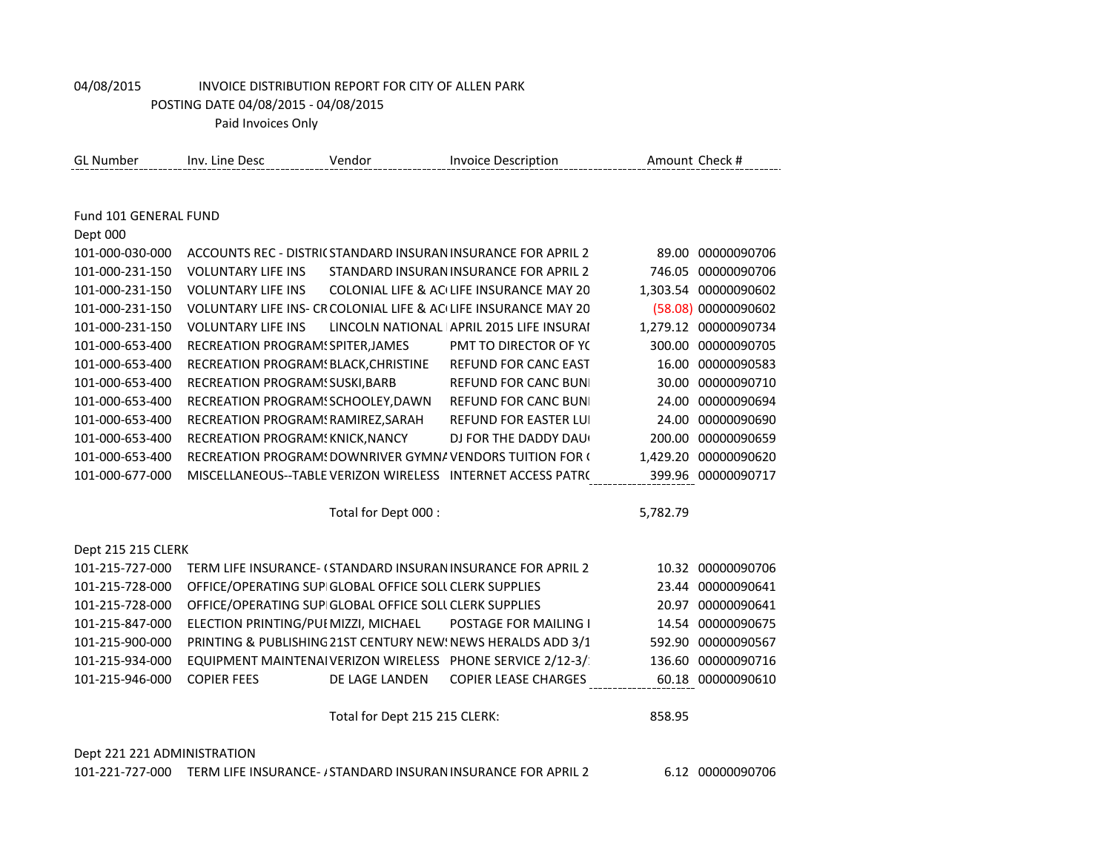Paid Invoices Only

| <b>GL Number</b>            | Inv. Line Desc                                         | Vendor                        | <b>Invoice Description</b>                                      |          | Amount Check #       |
|-----------------------------|--------------------------------------------------------|-------------------------------|-----------------------------------------------------------------|----------|----------------------|
|                             |                                                        |                               |                                                                 |          |                      |
| Fund 101 GENERAL FUND       |                                                        |                               |                                                                 |          |                      |
| Dept 000                    |                                                        |                               |                                                                 |          |                      |
| 101-000-030-000             |                                                        |                               | ACCOUNTS REC - DISTRICSTANDARD INSURAN INSURANCE FOR APRIL 2    |          | 89.00 00000090706    |
| 101-000-231-150             | <b>VOLUNTARY LIFE INS</b>                              |                               | STANDARD INSURAN INSURANCE FOR APRIL 2                          |          | 746.05 00000090706   |
| 101-000-231-150             | <b>VOLUNTARY LIFE INS</b>                              |                               | COLONIAL LIFE & AC(LIFE INSURANCE MAY 20                        |          | 1,303.54 00000090602 |
| 101-000-231-150             |                                                        |                               | VOLUNTARY LIFE INS- CR COLONIAL LIFE & AC LIFE INSURANCE MAY 20 |          | (58.08) 00000090602  |
| 101-000-231-150             | <b>VOLUNTARY LIFE INS</b>                              |                               | LINCOLN NATIONAL APRIL 2015 LIFE INSURAI                        |          | 1,279.12 00000090734 |
| 101-000-653-400             | RECREATION PROGRAM! SPITER, JAMES                      |                               | PMT TO DIRECTOR OF YO                                           |          | 300.00 00000090705   |
| 101-000-653-400             | RECREATION PROGRAM! BLACK, CHRISTINE                   |                               | REFUND FOR CANC EAST                                            |          | 16.00 00000090583    |
| 101-000-653-400             | RECREATION PROGRAM! SUSKI, BARB                        |                               | <b>REFUND FOR CANC BUNI</b>                                     |          | 30.00 00000090710    |
| 101-000-653-400             | RECREATION PROGRAM! SCHOOLEY, DAWN                     |                               | <b>REFUND FOR CANC BUNI</b>                                     |          | 24.00 00000090694    |
| 101-000-653-400             | RECREATION PROGRAM! RAMIREZ, SARAH                     |                               | <b>REFUND FOR EASTER LUI</b>                                    |          | 24.00 00000090690    |
| 101-000-653-400             | RECREATION PROGRAM! KNICK, NANCY                       |                               | DJ FOR THE DADDY DAU                                            |          | 200.00 00000090659   |
| 101-000-653-400             |                                                        |                               | RECREATION PROGRAM! DOWNRIVER GYMNA VENDORS TUITION FOR (       |          | 1,429.20 00000090620 |
| 101-000-677-000             |                                                        |                               | MISCELLANEOUS--TABLE VERIZON WIRELESS INTERNET ACCESS PATR(     |          | 399.96 00000090717   |
|                             |                                                        |                               |                                                                 |          |                      |
|                             |                                                        | Total for Dept 000 :          |                                                                 | 5,782.79 |                      |
| Dept 215 215 CLERK          |                                                        |                               |                                                                 |          |                      |
| 101-215-727-000             |                                                        |                               | TERM LIFE INSURANCE- (STANDARD INSURAN INSURANCE FOR APRIL 2    |          | 10.32 00000090706    |
| 101-215-728-000             | OFFICE/OPERATING SUP GLOBAL OFFICE SOLL CLERK SUPPLIES |                               |                                                                 |          | 23.44 00000090641    |
| 101-215-728-000             | OFFICE/OPERATING SUP GLOBAL OFFICE SOLL CLERK SUPPLIES |                               |                                                                 |          | 20.97 00000090641    |
| 101-215-847-000             | ELECTION PRINTING/PUI MIZZI, MICHAEL                   |                               | POSTAGE FOR MAILING I                                           |          | 14.54 00000090675    |
| 101-215-900-000             |                                                        |                               | PRINTING & PUBLISHING 21ST CENTURY NEW: NEWS HERALDS ADD 3/1    |          | 592.90 00000090567   |
| 101-215-934-000             |                                                        |                               | EQUIPMENT MAINTENAIVERIZON WIRELESS PHONE SERVICE 2/12-3/       |          | 136.60 00000090716   |
| 101-215-946-000             | <b>COPIER FEES</b>                                     | DE LAGE LANDEN                | <b>COPIER LEASE CHARGES</b>                                     |          | 60.18 00000090610    |
|                             |                                                        | Total for Dept 215 215 CLERK: |                                                                 | 858.95   |                      |
|                             |                                                        |                               |                                                                 |          |                      |
| Dept 221 221 ADMINISTRATION |                                                        |                               |                                                                 |          |                      |

101-221-727-000 TERM LIFE INSURANCE- / STANDARD INSURAN INSURANCE FOR APRIL 2 6.12 00000090706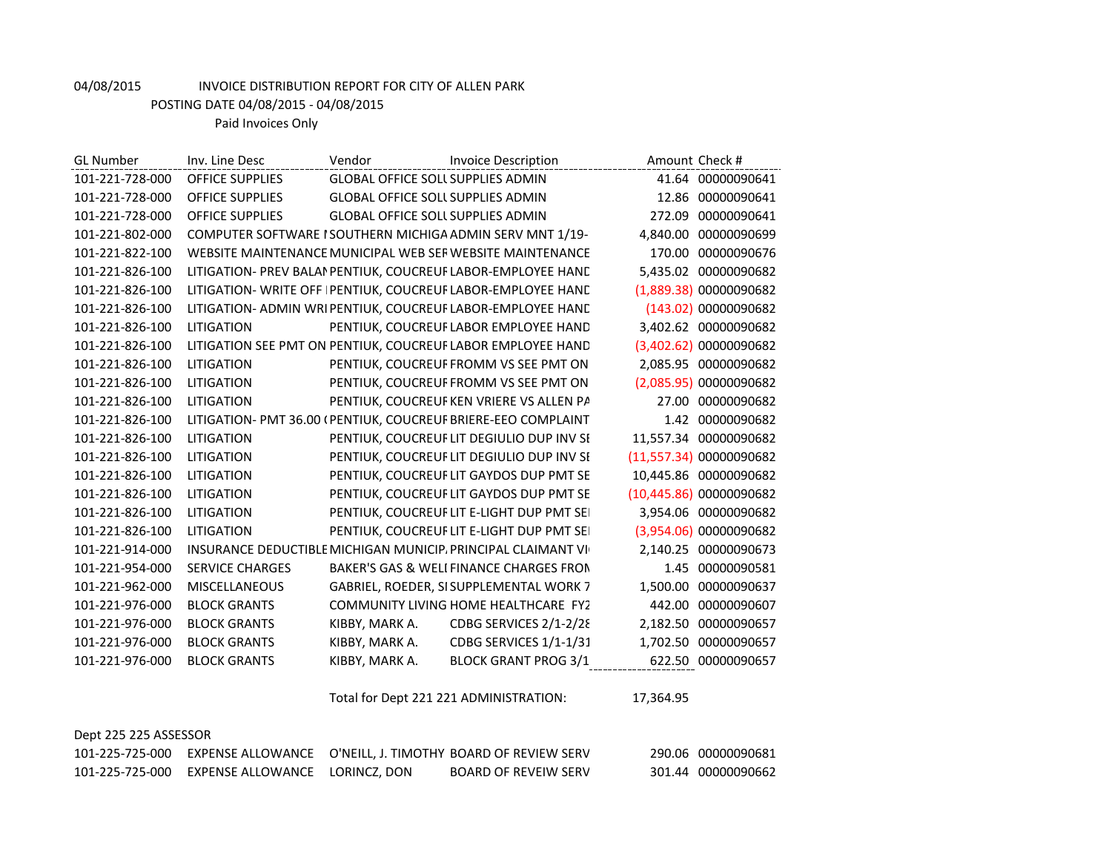POSTING DATE 04/08/2015 - 04/08/2015

Paid Invoices Only

| <b>GL Number</b> | Inv. Line Desc         | Vendor                                   | <b>Invoice Description</b>                                    | Amount Check # |                         |
|------------------|------------------------|------------------------------------------|---------------------------------------------------------------|----------------|-------------------------|
| 101-221-728-000  | <b>OFFICE SUPPLIES</b> | <b>GLOBAL OFFICE SOLL SUPPLIES ADMIN</b> |                                                               |                | 41.64 00000090641       |
| 101-221-728-000  | <b>OFFICE SUPPLIES</b> | <b>GLOBAL OFFICE SOLL SUPPLIES ADMIN</b> |                                                               | 12.86          | 00000090641             |
| 101-221-728-000  | <b>OFFICE SUPPLIES</b> | <b>GLOBAL OFFICE SOLL SUPPLIES ADMIN</b> |                                                               | 272.09         | 00000090641             |
| 101-221-802-000  |                        |                                          | COMPUTER SOFTWARE I SOUTHERN MICHIGA ADMIN SERV MNT 1/19-     | 4,840.00       | 00000090699             |
| 101-221-822-100  |                        |                                          | WEBSITE MAINTENANCE MUNICIPAL WEB SEF WEBSITE MAINTENANCE     | 170.00         | 00000090676             |
| 101-221-826-100  |                        |                                          | LITIGATION- PREV BALAI PENTIUK, COUCREUF LABOR-EMPLOYEE HAND  | 5.435.02       | 00000090682             |
| 101-221-826-100  |                        |                                          | LITIGATION- WRITE OFF PENTIUK, COUCREUF LABOR-EMPLOYEE HAND   |                | (1,889.38) 00000090682  |
| 101-221-826-100  |                        |                                          | LITIGATION- ADMIN WRIPENTIUK, COUCREUF LABOR-EMPLOYEE HAND    |                | (143.02) 00000090682    |
| 101-221-826-100  | <b>LITIGATION</b>      |                                          | PENTIUK, COUCREUF LABOR EMPLOYEE HAND                         |                | 3,402.62 00000090682    |
| 101-221-826-100  |                        |                                          | LITIGATION SEE PMT ON PENTIUK, COUCREUF LABOR EMPLOYEE HAND   |                | (3,402.62) 00000090682  |
| 101-221-826-100  | <b>LITIGATION</b>      |                                          | PENTIUK, COUCREUF FROMM VS SEE PMT ON                         | 2,085.95       | 00000090682             |
| 101-221-826-100  | <b>LITIGATION</b>      |                                          | PENTIUK, COUCREUF FROMM VS SEE PMT ON                         |                | (2,085.95) 00000090682  |
| 101-221-826-100  | <b>LITIGATION</b>      |                                          | PENTIUK, COUCREUF KEN VRIERE VS ALLEN PA                      | 27.00          | 00000090682             |
| 101-221-826-100  |                        |                                          | LITIGATION- PMT 36.00 (PENTIUK, COUCREUF BRIERE-EEO COMPLAINT | 1.42           | 00000090682             |
| 101-221-826-100  | LITIGATION             |                                          | PENTIUK, COUCREUF LIT DEGIULIO DUP INV SI                     | 11,557.34      | 00000090682             |
| 101-221-826-100  | <b>LITIGATION</b>      |                                          | PENTIUK, COUCREUF LIT DEGIULIO DUP INV SI                     |                | (11,557.34) 00000090682 |
| 101-221-826-100  | <b>LITIGATION</b>      |                                          | PENTIUK, COUCREUF LIT GAYDOS DUP PMT SE                       | 10,445.86      | 00000090682             |
| 101-221-826-100  | <b>LITIGATION</b>      |                                          | PENTIUK, COUCREUF LIT GAYDOS DUP PMT SE                       |                | (10,445.86) 00000090682 |
| 101-221-826-100  | <b>LITIGATION</b>      |                                          | PENTIUK, COUCREUF LIT E-LIGHT DUP PMT SEI                     | 3,954.06       | 00000090682             |
| 101-221-826-100  | LITIGATION             |                                          | PENTIUK, COUCREUF LIT E-LIGHT DUP PMT SEI                     | (3,954.06)     | 00000090682             |
| 101-221-914-000  |                        |                                          | INSURANCE DEDUCTIBLE MICHIGAN MUNICIP, PRINCIPAL CLAIMANT VI  | 2.140.25       | 00000090673             |
| 101-221-954-000  | <b>SERVICE CHARGES</b> |                                          | BAKER'S GAS & WELL FINANCE CHARGES FRON                       | 1.45           | 00000090581             |
| 101-221-962-000  | MISCELLANEOUS          |                                          | GABRIEL, ROEDER, SI SUPPLEMENTAL WORK 7                       | 1,500.00       | 00000090637             |
| 101-221-976-000  | <b>BLOCK GRANTS</b>    |                                          | COMMUNITY LIVING HOME HEALTHCARE FY2                          | 442.00         | 00000090607             |
| 101-221-976-000  | <b>BLOCK GRANTS</b>    | KIBBY, MARK A.                           | CDBG SERVICES 2/1-2/28                                        | 2,182.50       | 00000090657             |
| 101-221-976-000  | <b>BLOCK GRANTS</b>    | KIBBY, MARK A.                           | CDBG SERVICES 1/1-1/31                                        | 1,702.50       | 00000090657             |
| 101-221-976-000  | <b>BLOCK GRANTS</b>    | KIBBY, MARK A.                           | <b>BLOCK GRANT PROG 3/1</b>                                   | 622.50         | 00000090657             |
|                  |                        |                                          |                                                               |                |                         |

Total for Dept 221 221 ADMINISTRATION: 17,364.95

|  |  |  | Dept 225 225 ASSESSOR |
|--|--|--|-----------------------|
|--|--|--|-----------------------|

|                                                | 101-225-725-000 EXPENSE ALLOWANCE O'NEILL, J. TIMOTHY BOARD OF REVIEW SERV | 290.06 00000090681 |
|------------------------------------------------|----------------------------------------------------------------------------|--------------------|
| 101-225-725-000 EXPENSE ALLOWANCE LORINCZ, DON | <b>BOARD OF REVEIW SERV</b>                                                | 301.44 00000090662 |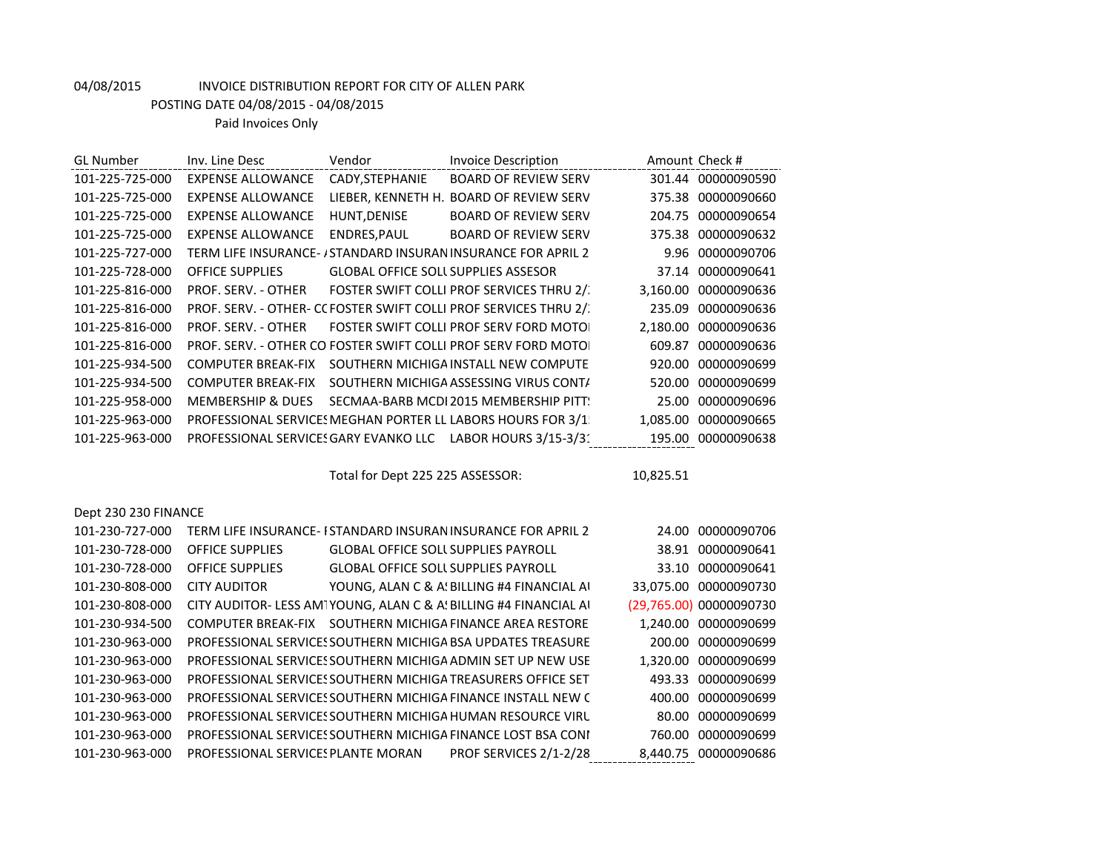POSTING DATE 04/08/2015 - 04/08/2015

Paid Invoices Only

| <b>GL Number</b>     | Inv. Line Desc               | Vendor                                     | <b>Invoice Description</b>                                        | Amount Check # |                         |
|----------------------|------------------------------|--------------------------------------------|-------------------------------------------------------------------|----------------|-------------------------|
| 101-225-725-000      | <b>EXPENSE ALLOWANCE</b>     | CADY, STEPHANIE                            | <b>BOARD OF REVIEW SERV</b>                                       |                | 301.44 00000090590      |
| 101-225-725-000      | <b>EXPENSE ALLOWANCE</b>     |                                            | LIEBER, KENNETH H. BOARD OF REVIEW SERV                           |                | 375.38 00000090660      |
| 101-225-725-000      | <b>EXPENSE ALLOWANCE</b>     | HUNT, DENISE                               | <b>BOARD OF REVIEW SERV</b>                                       |                | 204.75 00000090654      |
| 101-225-725-000      | <b>EXPENSE ALLOWANCE</b>     | ENDRES, PAUL                               | <b>BOARD OF REVIEW SERV</b>                                       |                | 375.38 00000090632      |
| 101-225-727-000      |                              |                                            | TERM LIFE INSURANCE- / STANDARD INSURAN INSURANCE FOR APRIL 2     |                | 9.96 00000090706        |
| 101-225-728-000      | <b>OFFICE SUPPLIES</b>       | <b>GLOBAL OFFICE SOLL SUPPLIES ASSESOR</b> |                                                                   |                | 37.14 00000090641       |
| 101-225-816-000      | PROF. SERV. - OTHER          |                                            | FOSTER SWIFT COLLI PROF SERVICES THRU 2/.                         |                | 3,160.00 00000090636    |
| 101-225-816-000      |                              |                                            | PROF. SERV. - OTHER- CC FOSTER SWIFT COLLI PROF SERVICES THRU 2/. |                | 235.09 00000090636      |
| 101-225-816-000      | PROF. SERV. - OTHER          |                                            | FOSTER SWIFT COLLI PROF SERV FORD MOTOL                           |                | 2,180.00 00000090636    |
| 101-225-816-000      |                              |                                            | PROF. SERV. - OTHER CO FOSTER SWIFT COLLI PROF SERV FORD MOTOL    |                | 609.87 00000090636      |
| 101-225-934-500      | <b>COMPUTER BREAK-FIX</b>    |                                            | SOUTHERN MICHIGA INSTALL NEW COMPUTE                              |                | 920.00 00000090699      |
| 101-225-934-500      | <b>COMPUTER BREAK-FIX</b>    |                                            | SOUTHERN MICHIGA ASSESSING VIRUS CONT/                            |                | 520.00 00000090699      |
| 101-225-958-000      | <b>MEMBERSHIP &amp; DUES</b> |                                            | SECMAA-BARB MCDI 2015 MEMBERSHIP PITT:                            |                | 25.00 00000090696       |
| 101-225-963-000      |                              |                                            | PROFESSIONAL SERVICES MEGHAN PORTER LL LABORS HOURS FOR 3/1       |                | 1,085.00 00000090665    |
| 101-225-963-000      |                              |                                            | PROFESSIONAL SERVICES GARY EVANKO LLC LABOR HOURS 3/15-3/31       |                | 195.00 00000090638      |
|                      |                              |                                            |                                                                   |                |                         |
|                      |                              |                                            |                                                                   |                |                         |
|                      |                              | Total for Dept 225 225 ASSESSOR:           |                                                                   | 10,825.51      |                         |
|                      |                              |                                            |                                                                   |                |                         |
| Dept 230 230 FINANCE |                              |                                            |                                                                   |                |                         |
| 101-230-727-000      |                              |                                            | TERM LIFE INSURANCE-I STANDARD INSURAN INSURANCE FOR APRIL 2      |                | 24.00 00000090706       |
| 101-230-728-000      | <b>OFFICE SUPPLIES</b>       | <b>GLOBAL OFFICE SOLL SUPPLIES PAYROLL</b> |                                                                   |                | 38.91 00000090641       |
| 101-230-728-000      | <b>OFFICE SUPPLIES</b>       | <b>GLOBAL OFFICE SOLL SUPPLIES PAYROLL</b> |                                                                   |                | 33.10 00000090641       |
| 101-230-808-000      | <b>CITY AUDITOR</b>          |                                            | YOUNG, ALAN C & A! BILLING #4 FINANCIAL AI                        |                | 33,075.00 00000090730   |
| 101-230-808-000      |                              |                                            | CITY AUDITOR- LESS AMTYOUNG, ALAN C & A! BILLING #4 FINANCIAL AI  |                | (29,765.00) 00000090730 |
| 101-230-934-500      |                              |                                            | COMPUTER BREAK-FIX SOUTHERN MICHIGA FINANCE AREA RESTORE          |                | 1,240.00 00000090699    |
| 101-230-963-000      |                              |                                            | PROFESSIONAL SERVICES SOUTHERN MICHIGA BSA UPDATES TREASURE       |                | 200.00 00000090699      |
| 101-230-963-000      |                              |                                            | PROFESSIONAL SERVICES SOUTHERN MICHIGA ADMIN SET UP NEW USE       |                | 1,320.00 00000090699    |
| 101-230-963-000      |                              |                                            | PROFESSIONAL SERVICES SOUTHERN MICHIGA TREASURERS OFFICE SET      |                | 493.33 00000090699      |
| 101-230-963-000      |                              |                                            | PROFESSIONAL SERVICES SOUTHERN MICHIGA FINANCE INSTALL NEW C      |                | 400.00 00000090699      |
| 101-230-963-000      |                              |                                            | PROFESSIONAL SERVICES SOUTHERN MICHIGA HUMAN RESOURCE VIRL        |                | 80.00 00000090699       |

101-230-963-000 PROFESSIONAL SERVICES PLANTE MORAN PROF SERVICES 2/1-2/28 8,440.75 00000090686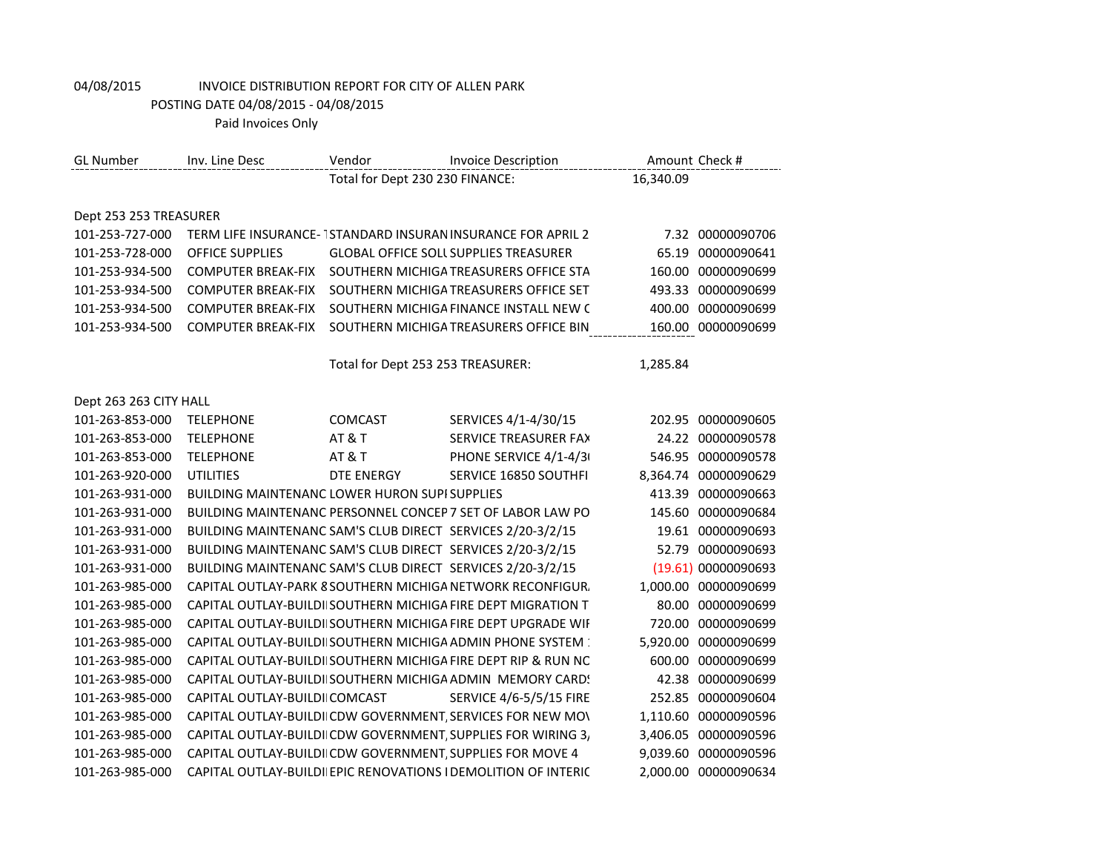POSTING DATE 04/08/2015 - 04/08/2015

| <b>GL Number</b>       | Inv. Line Desc                                             | Vendor                            | <b>Invoice Description</b>                                        |           | Amount Check #       |
|------------------------|------------------------------------------------------------|-----------------------------------|-------------------------------------------------------------------|-----------|----------------------|
|                        |                                                            | Total for Dept 230 230 FINANCE:   |                                                                   | 16,340.09 |                      |
|                        |                                                            |                                   |                                                                   |           |                      |
| Dept 253 253 TREASURER |                                                            |                                   |                                                                   |           |                      |
| 101-253-727-000        |                                                            |                                   | TERM LIFE INSURANCE-TSTANDARD INSURAN INSURANCE FOR APRIL 2       |           | 7.32 00000090706     |
| 101-253-728-000        | <b>OFFICE SUPPLIES</b>                                     |                                   | <b>GLOBAL OFFICE SOLL SUPPLIES TREASURER</b>                      | 65.19     | 00000090641          |
| 101-253-934-500        | <b>COMPUTER BREAK-FIX</b>                                  |                                   | SOUTHERN MICHIGA TREASURERS OFFICE STA                            | 160.00    | 00000090699          |
| 101-253-934-500        | <b>COMPUTER BREAK-FIX</b>                                  |                                   | SOUTHERN MICHIGA TREASURERS OFFICE SET                            | 493.33    | 00000090699          |
| 101-253-934-500        | <b>COMPUTER BREAK-FIX</b>                                  |                                   | SOUTHERN MICHIGA FINANCE INSTALL NEW C                            |           | 400.00 00000090699   |
| 101-253-934-500        | <b>COMPUTER BREAK-FIX</b>                                  |                                   | SOUTHERN MICHIGA TREASURERS OFFICE BIN                            |           | 160.00 00000090699   |
|                        |                                                            |                                   |                                                                   |           |                      |
|                        |                                                            | Total for Dept 253 253 TREASURER: |                                                                   | 1,285.84  |                      |
|                        |                                                            |                                   |                                                                   |           |                      |
| Dept 263 263 CITY HALL |                                                            |                                   |                                                                   |           |                      |
| 101-263-853-000        | <b>TELEPHONE</b>                                           | COMCAST                           | SERVICES 4/1-4/30/15                                              |           | 202.95 00000090605   |
| 101-263-853-000        | <b>TELEPHONE</b>                                           | <b>AT &amp; T</b>                 | SERVICE TREASURER FAX                                             |           | 24.22 00000090578    |
| 101-263-853-000        | <b>TELEPHONE</b>                                           | <b>AT &amp; T</b>                 | PHONE SERVICE 4/1-4/3                                             |           | 546.95 00000090578   |
| 101-263-920-000        | <b>UTILITIES</b>                                           | DTE ENERGY                        | SERVICE 16850 SOUTHFI                                             |           | 8,364.74 00000090629 |
| 101-263-931-000        | <b>BUILDING MAINTENANC LOWER HURON SUPISUPPLIES</b>        |                                   |                                                                   |           | 413.39 00000090663   |
| 101-263-931-000        |                                                            |                                   | BUILDING MAINTENANC PERSONNEL CONCEP 7 SET OF LABOR LAW PO        |           | 145.60 00000090684   |
| 101-263-931-000        | BUILDING MAINTENANC SAM'S CLUB DIRECT SERVICES 2/20-3/2/15 |                                   |                                                                   |           | 19.61 00000090693    |
| 101-263-931-000        | BUILDING MAINTENANC SAM'S CLUB DIRECT SERVICES 2/20-3/2/15 |                                   |                                                                   |           | 52.79 00000090693    |
| 101-263-931-000        | BUILDING MAINTENANC SAM'S CLUB DIRECT SERVICES 2/20-3/2/15 |                                   |                                                                   |           | (19.61) 00000090693  |
| 101-263-985-000        |                                                            |                                   | CAPITAL OUTLAY-PARK 8 SOUTHERN MICHIGA NETWORK RECONFIGUR.        |           | 1,000.00 00000090699 |
| 101-263-985-000        |                                                            |                                   | CAPITAL OUTLAY-BUILDI SOUTHERN MICHIGA FIRE DEPT MIGRATION T      | 80.00     | 00000090699          |
| 101-263-985-000        |                                                            |                                   | CAPITAL OUTLAY-BUILDI SOUTHERN MICHIGA FIRE DEPT UPGRADE WIF      | 720.00    | 00000090699          |
| 101-263-985-000        |                                                            |                                   | <b>CAPITAL OUTLAY-BUILDI SOUTHERN MICHIGA ADMIN PHONE SYSTEM:</b> |           | 5,920.00 00000090699 |
| 101-263-985-000        |                                                            |                                   | CAPITAL OUTLAY-BUILDI SOUTHERN MICHIGA FIRE DEPT RIP & RUN NC     | 600.00    | 00000090699          |
| 101-263-985-000        |                                                            |                                   | CAPITAL OUTLAY-BUILDI SOUTHERN MICHIGA ADMIN MEMORY CARD!         |           | 42.38 00000090699    |
| 101-263-985-000        | CAPITAL OUTLAY-BUILDI COMCAST                              |                                   | SERVICE 4/6-5/5/15 FIRE                                           |           | 252.85 00000090604   |
| 101-263-985-000        |                                                            |                                   | CAPITAL OUTLAY-BUILDI CDW GOVERNMENT, SERVICES FOR NEW MOV        | 1,110.60  | 00000090596          |
| 101-263-985-000        |                                                            |                                   | CAPITAL OUTLAY-BUILDI CDW GOVERNMENT, SUPPLIES FOR WIRING 3,      | 3,406.05  | 00000090596          |
| 101-263-985-000        | CAPITAL OUTLAY-BUILDI CDW GOVERNMENT, SUPPLIES FOR MOVE 4  |                                   |                                                                   |           | 9,039.60 00000090596 |
| 101-263-985-000        |                                                            |                                   | CAPITAL OUTLAY-BUILDI EPIC RENOVATIONS I DEMOLITION OF INTERIC    |           | 2,000.00 00000090634 |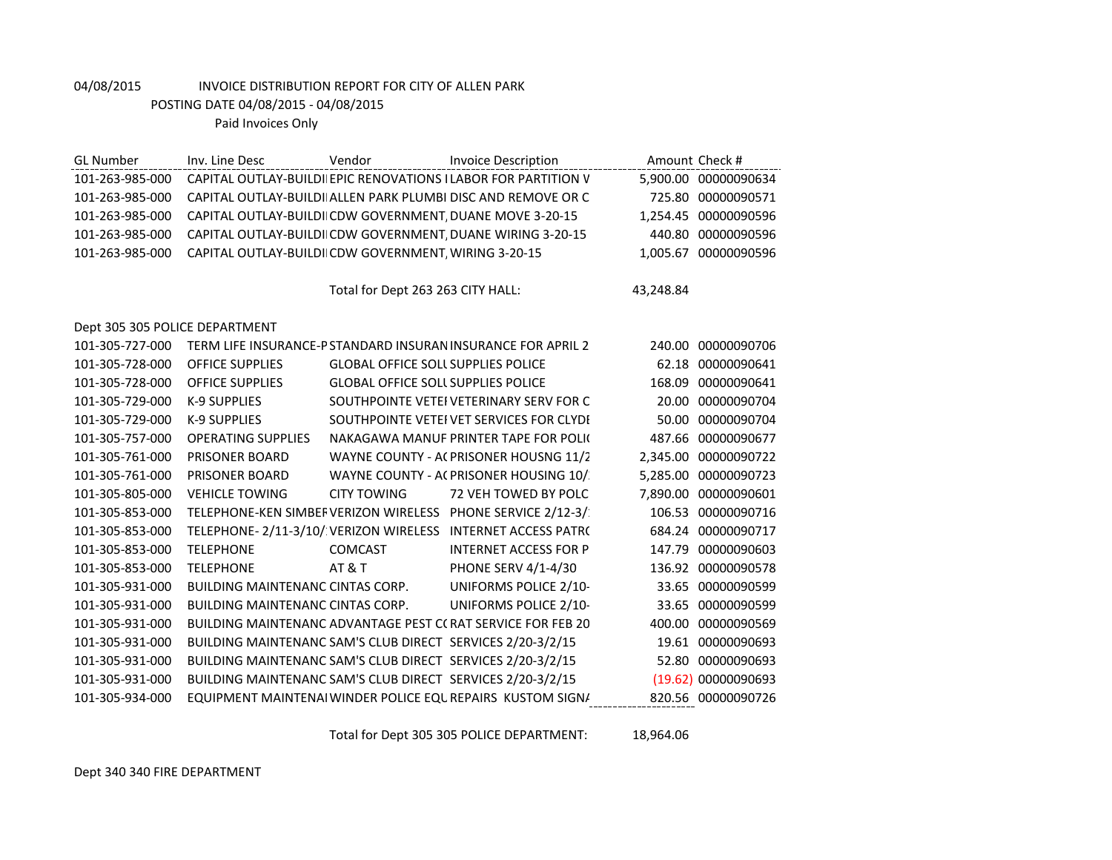POSTING DATE 04/08/2015 - 04/08/2015

Paid Invoices Only

| <b>GL Number</b>               | Inv. Line Desc                                             | Vendor                                    | <b>Invoice Description</b>                                     |           | Amount Check #       |
|--------------------------------|------------------------------------------------------------|-------------------------------------------|----------------------------------------------------------------|-----------|----------------------|
| 101-263-985-000                |                                                            |                                           | CAPITAL OUTLAY-BUILDI EPIC RENOVATIONS I LABOR FOR PARTITION V |           | 5,900.00 00000090634 |
| 101-263-985-000                |                                                            |                                           | CAPITAL OUTLAY-BUILDI ALLEN PARK PLUMBI DISC AND REMOVE OR C   |           | 725.80 00000090571   |
| 101-263-985-000                | CAPITAL OUTLAY-BUILDI CDW GOVERNMENT, DUANE MOVE 3-20-15   |                                           |                                                                |           | 1,254.45 00000090596 |
| 101-263-985-000                |                                                            |                                           | CAPITAL OUTLAY-BUILDI CDW GOVERNMENT, DUANE WIRING 3-20-15     |           | 440.80 00000090596   |
| 101-263-985-000                | CAPITAL OUTLAY-BUILDI CDW GOVERNMENT, WIRING 3-20-15       |                                           |                                                                |           | 1,005.67 00000090596 |
|                                |                                                            |                                           |                                                                |           |                      |
|                                |                                                            | Total for Dept 263 263 CITY HALL:         |                                                                | 43,248.84 |                      |
|                                |                                                            |                                           |                                                                |           |                      |
| Dept 305 305 POLICE DEPARTMENT |                                                            |                                           |                                                                |           |                      |
| 101-305-727-000                |                                                            |                                           | TERM LIFE INSURANCE-P STANDARD INSURAN INSURANCE FOR APRIL 2   |           | 240.00 00000090706   |
| 101-305-728-000                | <b>OFFICE SUPPLIES</b>                                     | <b>GLOBAL OFFICE SOLL SUPPLIES POLICE</b> |                                                                | 62.18     | 00000090641          |
| 101-305-728-000                | <b>OFFICE SUPPLIES</b>                                     | <b>GLOBAL OFFICE SOLL SUPPLIES POLICE</b> |                                                                |           | 168.09 00000090641   |
| 101-305-729-000                | <b>K-9 SUPPLIES</b>                                        |                                           | SOUTHPOINTE VETEI VETERINARY SERV FOR C                        |           | 20.00 00000090704    |
| 101-305-729-000                | <b>K-9 SUPPLIES</b>                                        |                                           | SOUTHPOINTE VETEI VET SERVICES FOR CLYDI                       | 50.00     | 00000090704          |
| 101-305-757-000                | <b>OPERATING SUPPLIES</b>                                  |                                           | NAKAGAWA MANUF PRINTER TAPE FOR POLIC                          | 487.66    | 00000090677          |
| 101-305-761-000                | PRISONER BOARD                                             |                                           | WAYNE COUNTY - AC PRISONER HOUSNG 11/2                         |           | 2,345.00 00000090722 |
| 101-305-761-000                | <b>PRISONER BOARD</b>                                      |                                           | WAYNE COUNTY - AC PRISONER HOUSING 10/                         |           | 5,285.00 00000090723 |
| 101-305-805-000                | <b>VEHICLE TOWING</b>                                      | <b>CITY TOWING</b>                        | 72 VEH TOWED BY POLC                                           |           | 7,890.00 00000090601 |
| 101-305-853-000                |                                                            |                                           | TELEPHONE-KEN SIMBEF VERIZON WIRELESS PHONE SERVICE 2/12-3/    | 106.53    | 00000090716          |
| 101-305-853-000                |                                                            |                                           | TELEPHONE-2/11-3/10/ VERIZON WIRELESS INTERNET ACCESS PATR(    |           | 684.24 00000090717   |
| 101-305-853-000                | <b>TELEPHONE</b>                                           | <b>COMCAST</b>                            | <b>INTERNET ACCESS FOR P</b>                                   | 147.79    | 00000090603          |
| 101-305-853-000                | <b>TELEPHONE</b>                                           | <b>AT &amp; T</b>                         | PHONE SERV 4/1-4/30                                            |           | 136.92 00000090578   |
| 101-305-931-000                | <b>BUILDING MAINTENANC CINTAS CORP.</b>                    |                                           | UNIFORMS POLICE 2/10-                                          | 33.65     | 00000090599          |
| 101-305-931-000                | <b>BUILDING MAINTENANC CINTAS CORP.</b>                    |                                           | UNIFORMS POLICE 2/10-                                          |           | 33.65 00000090599    |
| 101-305-931-000                |                                                            |                                           | BUILDING MAINTENANC ADVANTAGE PEST C(RAT SERVICE FOR FEB 20    | 400.00    | 00000090569          |
| 101-305-931-000                | BUILDING MAINTENANC SAM'S CLUB DIRECT SERVICES 2/20-3/2/15 |                                           |                                                                |           | 19.61 00000090693    |
| 101-305-931-000                | BUILDING MAINTENANC SAM'S CLUB DIRECT SERVICES 2/20-3/2/15 |                                           |                                                                |           | 52.80 00000090693    |
| 101-305-931-000                | BUILDING MAINTENANC SAM'S CLUB DIRECT SERVICES 2/20-3/2/15 |                                           |                                                                |           | (19.62) 00000090693  |
| 101-305-934-000                |                                                            |                                           | EQUIPMENT MAINTENAI WINDER POLICE EQUREPAIRS KUSTOM SIGN/      |           | 820.56 00000090726   |

Total for Dept 305 305 POLICE DEPARTMENT: 18,964.06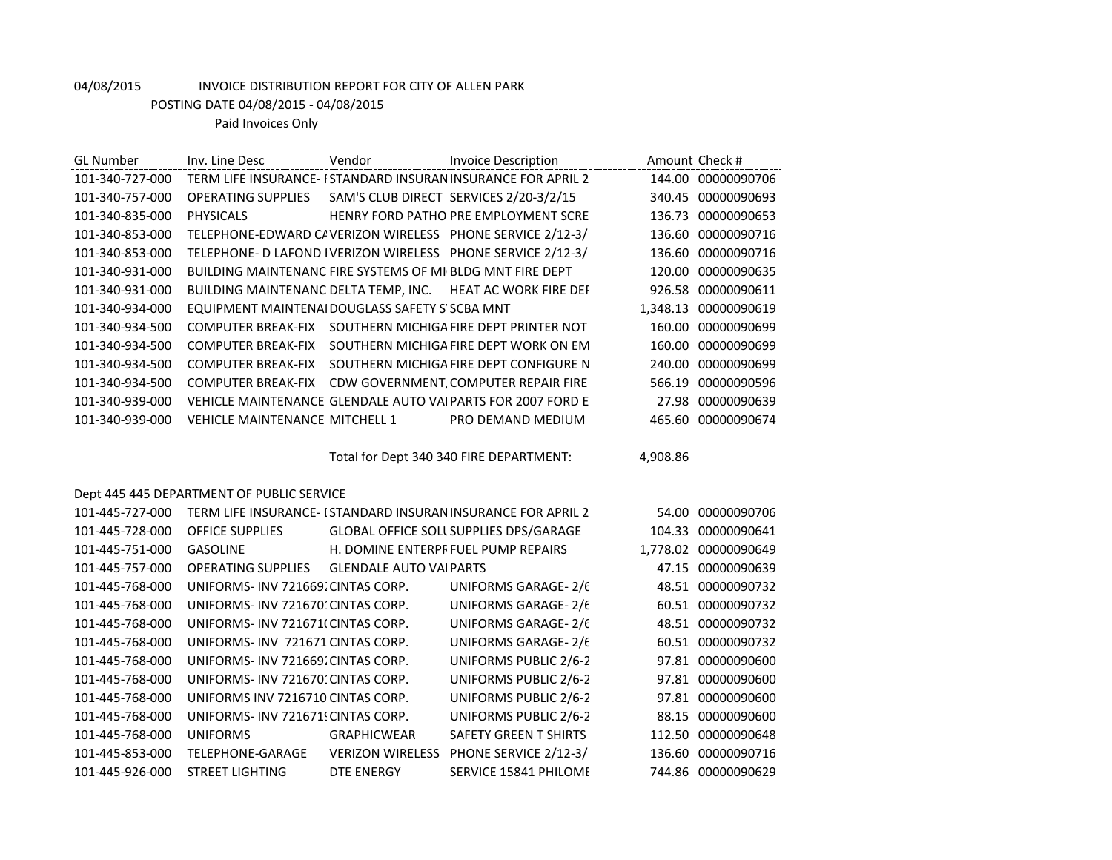POSTING DATE 04/08/2015 - 04/08/2015

| <b>GL Number</b> | Inv. Line Desc                                            | Vendor                  | <b>Invoice Description</b>                                    |          | Amount Check #       |
|------------------|-----------------------------------------------------------|-------------------------|---------------------------------------------------------------|----------|----------------------|
| 101-340-727-000  |                                                           |                         | TERM LIFE INSURANCE- I STANDARD INSURAN INSURANCE FOR APRIL 2 |          | 144.00 00000090706   |
| 101-340-757-000  | OPERATING SUPPLIES SAM'S CLUB DIRECT SERVICES 2/20-3/2/15 |                         |                                                               |          | 340.45 00000090693   |
| 101-340-835-000  | <b>PHYSICALS</b>                                          |                         | HENRY FORD PATHO PRE EMPLOYMENT SCRE                          |          | 136.73 00000090653   |
| 101-340-853-000  |                                                           |                         | TELEPHONE-EDWARD C/ VERIZON WIRELESS PHONE SERVICE 2/12-3/    |          | 136.60 00000090716   |
| 101-340-853-000  |                                                           |                         | TELEPHONE- D LAFOND IVERIZON WIRELESS PHONE SERVICE 2/12-3/   |          | 136.60 00000090716   |
| 101-340-931-000  | BUILDING MAINTENANC FIRE SYSTEMS OF MI BLDG MNT FIRE DEPT |                         |                                                               |          | 120.00 00000090635   |
| 101-340-931-000  |                                                           |                         | BUILDING MAINTENANC DELTA TEMP, INC. HEAT AC WORK FIRE DEF    |          | 926.58 00000090611   |
| 101-340-934-000  | EQUIPMENT MAINTENAI DOUGLASS SAFETY S' SCBA MNT           |                         |                                                               |          | 1,348.13 00000090619 |
| 101-340-934-500  |                                                           |                         | COMPUTER BREAK-FIX SOUTHERN MICHIGA FIRE DEPT PRINTER NOT     |          | 160.00 00000090699   |
| 101-340-934-500  |                                                           |                         | COMPUTER BREAK-FIX SOUTHERN MICHIGA FIRE DEPT WORK ON EM      |          | 160.00 00000090699   |
| 101-340-934-500  |                                                           |                         | COMPUTER BREAK-FIX SOUTHERN MICHIGA FIRE DEPT CONFIGURE N     |          | 240.00 00000090699   |
| 101-340-934-500  |                                                           |                         | COMPUTER BREAK-FIX CDW GOVERNMENT, COMPUTER REPAIR FIRE       |          | 566.19 00000090596   |
| 101-340-939-000  |                                                           |                         | VEHICLE MAINTENANCE GLENDALE AUTO VAI PARTS FOR 2007 FORD E   |          | 27.98 00000090639    |
| 101-340-939-000  | VEHICLE MAINTENANCE MITCHELL 1                            |                         | PRO DEMAND MEDIUM                                             |          | 465.60 00000090674   |
|                  |                                                           |                         | Total for Dept 340 340 FIRE DEPARTMENT:                       | 4,908.86 |                      |
|                  | Dept 445 445 DEPARTMENT OF PUBLIC SERVICE                 |                         |                                                               |          |                      |
| 101-445-727-000  |                                                           |                         | TERM LIFE INSURANCE- I STANDARD INSURAN INSURANCE FOR APRIL 2 |          | 54.00 00000090706    |
| 101-445-728-000  | <b>OFFICE SUPPLIES</b>                                    |                         | GLOBAL OFFICE SOLL SUPPLIES DPS/GARAGE                        |          | 104.33 00000090641   |
| 101-445-751-000  | GASOLINE                                                  |                         | H. DOMINE ENTERPF FUEL PUMP REPAIRS                           |          | 1,778.02 00000090649 |
| 101-445-757-000  | OPERATING SUPPLIES GLENDALE AUTO VAI PARTS                |                         |                                                               |          | 47.15 00000090639    |
| 101-445-768-000  | UNIFORMS- INV 721669. CINTAS CORP.                        |                         | UNIFORMS GARAGE-2/6                                           |          | 48.51 00000090732    |
| 101-445-768-000  | UNIFORMS- INV 721670: CINTAS CORP.                        |                         | <b>UNIFORMS GARAGE-2/6</b>                                    |          | 60.51 00000090732    |
| 101-445-768-000  | UNIFORMS- INV 721671(CINTAS CORP.                         |                         | UNIFORMS GARAGE-2/6                                           |          | 48.51 00000090732    |
| 101-445-768-000  | UNIFORMS- INV 721671 CINTAS CORP.                         |                         | UNIFORMS GARAGE-2/6                                           |          | 60.51 00000090732    |
| 101-445-768-000  | UNIFORMS- INV 721669. CINTAS CORP.                        |                         | <b>UNIFORMS PUBLIC 2/6-2</b>                                  |          | 97.81 00000090600    |
| 101-445-768-000  | UNIFORMS- INV 721670: CINTAS CORP.                        |                         | <b>UNIFORMS PUBLIC 2/6-2</b>                                  |          | 97.81 00000090600    |
| 101-445-768-000  | UNIFORMS INV 7216710 CINTAS CORP.                         |                         | <b>UNIFORMS PUBLIC 2/6-2</b>                                  |          | 97.81 00000090600    |
| 101-445-768-000  | UNIFORMS- INV 721671! CINTAS CORP.                        |                         | UNIFORMS PUBLIC 2/6-2                                         |          | 88.15 00000090600    |
| 101-445-768-000  | <b>UNIFORMS</b>                                           | <b>GRAPHICWEAR</b>      | <b>SAFETY GREEN T SHIRTS</b>                                  |          | 112.50 00000090648   |
| 101-445-853-000  | TELEPHONE-GARAGE                                          | <b>VERIZON WIRELESS</b> | PHONE SERVICE 2/12-3/                                         |          | 136.60 00000090716   |
| 101-445-926-000  | <b>STREET LIGHTING</b>                                    | <b>DTE ENERGY</b>       | SERVICE 15841 PHILOME                                         |          | 744.86 00000090629   |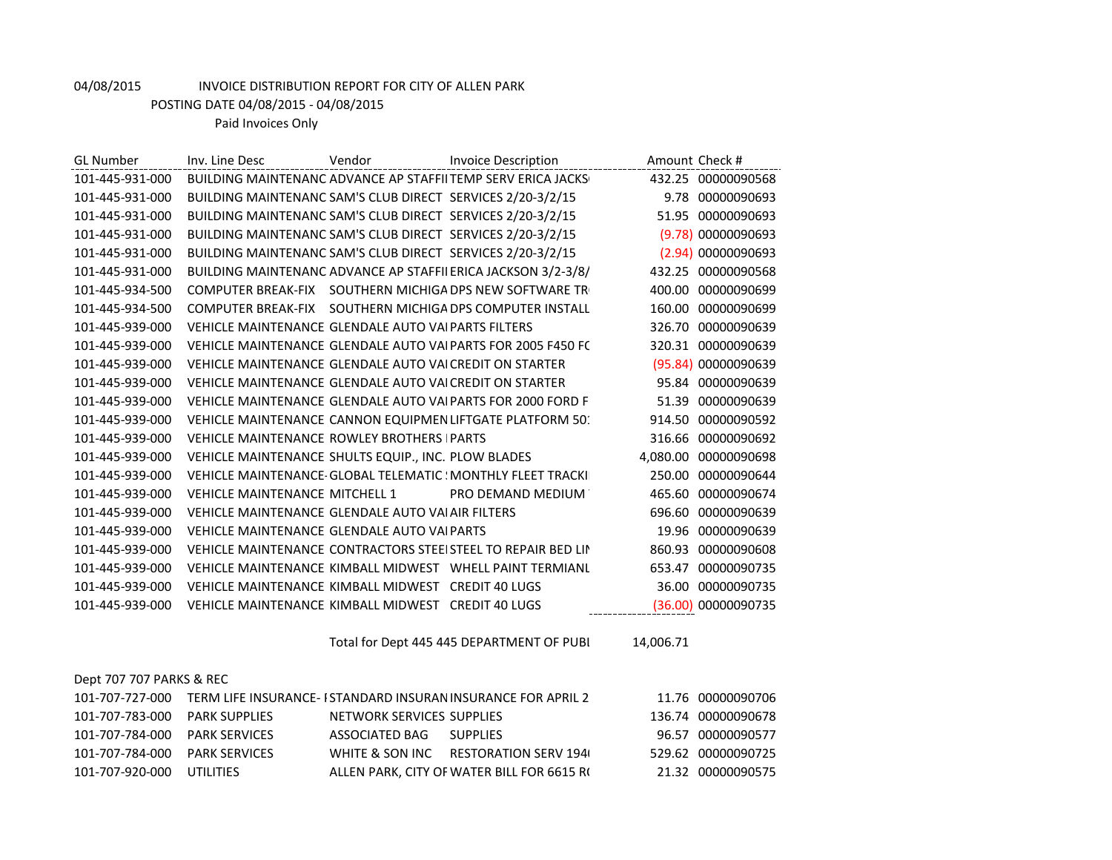POSTING DATE 04/08/2015 - 04/08/2015

Paid Invoices Only

| <b>GL Number</b> | Inv. Line Desc                                             | Vendor | <b>Invoice Description</b>                                    | Amount Check #          |
|------------------|------------------------------------------------------------|--------|---------------------------------------------------------------|-------------------------|
| 101-445-931-000  |                                                            |        | BUILDING MAINTENANC ADVANCE AP STAFFILTEMP SERV ERICA JACKS   | 432.25 00000090568      |
| 101-445-931-000  | BUILDING MAINTENANC SAM'S CLUB DIRECT SERVICES 2/20-3/2/15 |        |                                                               | 9.78 00000090693        |
| 101-445-931-000  | BUILDING MAINTENANC SAM'S CLUB DIRECT SERVICES 2/20-3/2/15 |        |                                                               | 00000090693<br>51.95    |
| 101-445-931-000  | BUILDING MAINTENANC SAM'S CLUB DIRECT SERVICES 2/20-3/2/15 |        |                                                               | (9.78) 00000090693      |
| 101-445-931-000  | BUILDING MAINTENANC SAM'S CLUB DIRECT SERVICES 2/20-3/2/15 |        |                                                               | (2.94) 00000090693      |
| 101-445-931-000  |                                                            |        | BUILDING MAINTENANC ADVANCE AP STAFFII ERICA JACKSON 3/2-3/8/ | 432.25<br>00000090568   |
| 101-445-934-500  | <b>COMPUTER BREAK-FIX</b>                                  |        | SOUTHERN MICHIGA DPS NEW SOFTWARE TR                          | 00000090699<br>400.00   |
| 101-445-934-500  | <b>COMPUTER BREAK-FIX</b>                                  |        | SOUTHERN MICHIGA DPS COMPUTER INSTALL                         | 00000090699<br>160.00   |
| 101-445-939-000  | VEHICLE MAINTENANCE GLENDALE AUTO VAI PARTS FILTERS        |        |                                                               | 326.70<br>00000090639   |
| 101-445-939-000  |                                                            |        | VEHICLE MAINTENANCE GLENDALE AUTO VALPARTS FOR 2005 F450 FC   | 320.31 00000090639      |
| 101-445-939-000  | VEHICLE MAINTENANCE GLENDALE AUTO VALCREDIT ON STARTER     |        |                                                               | (95.84) 00000090639     |
| 101-445-939-000  | VEHICLE MAINTENANCE GLENDALE AUTO VALCREDIT ON STARTER     |        |                                                               | 95.84 00000090639       |
| 101-445-939-000  |                                                            |        | VEHICLE MAINTENANCE GLENDALE AUTO VALPARTS FOR 2000 FORD F    | 00000090639<br>51.39    |
| 101-445-939-000  |                                                            |        | VEHICLE MAINTENANCE CANNON EQUIPMEN LIFTGATE PLATFORM 50.     | 914.50<br>00000090592   |
| 101-445-939-000  | <b>VEHICLE MAINTENANCE ROWLEY BROTHERS IPARTS</b>          |        |                                                               | 00000090692<br>316.66   |
| 101-445-939-000  | VEHICLE MAINTENANCE SHULTS EQUIP., INC. PLOW BLADES        |        |                                                               | 00000090698<br>4,080.00 |
| 101-445-939-000  |                                                            |        | VEHICLE MAINTENANCE GLOBAL TELEMATIC ! MONTHLY FLEET TRACKI   | 250.00<br>00000090644   |
| 101-445-939-000  | <b>VEHICLE MAINTENANCE MITCHELL 1</b>                      |        | PRO DEMAND MEDIUM                                             | 00000090674<br>465.60   |
| 101-445-939-000  | VEHICLE MAINTENANCE GLENDALE AUTO VAI AIR FILTERS          |        |                                                               | 00000090639<br>696.60   |
| 101-445-939-000  | VEHICLE MAINTENANCE GLENDALE AUTO VAI PARTS                |        |                                                               | 00000090639<br>19.96    |
| 101-445-939-000  |                                                            |        | VEHICLE MAINTENANCE CONTRACTORS STEELSTEEL TO REPAIR BED LIN  | 00000090608<br>860.93   |
| 101-445-939-000  |                                                            |        | VEHICLE MAINTENANCE KIMBALL MIDWEST WHELL PAINT TERMIANL      | 00000090735<br>653.47   |
| 101-445-939-000  | VEHICLE MAINTENANCE KIMBALL MIDWEST CREDIT 40 LUGS         |        |                                                               | 00000090735<br>36.00    |
| 101-445-939-000  | VEHICLE MAINTENANCE KIMBALL MIDWEST CREDIT 40 LUGS         |        |                                                               | (36.00) 00000090735     |

Total for Dept 445 445 DEPARTMENT OF PUBI 14,006.71

### Dept 707 707 PARKS & REC

| 101-707-727-000               |                      |                           | TERM LIFE INSURANCE- I STANDARD INSURAN INSURANCE FOR APRIL 2 | 11.76 00000090706  |
|-------------------------------|----------------------|---------------------------|---------------------------------------------------------------|--------------------|
| 101-707-783-000               | PARK SUPPLIFS        | NETWORK SERVICES SUPPLIES |                                                               | 136.74 00000090678 |
| 101-707-784-000 PARK SERVICES |                      | ASSOCIATED BAG            | <b>SUPPLIFS</b>                                               | 96.57 00000090577  |
| 101-707-784-000               | <b>PARK SERVICES</b> |                           | WHITE & SON INC RESTORATION SERV 1940                         | 529.62 00000090725 |
| 101-707-920-000               | UTILITIES            |                           | ALLEN PARK. CITY OF WATER BILL FOR 6615 RC                    | 21.32 00000090575  |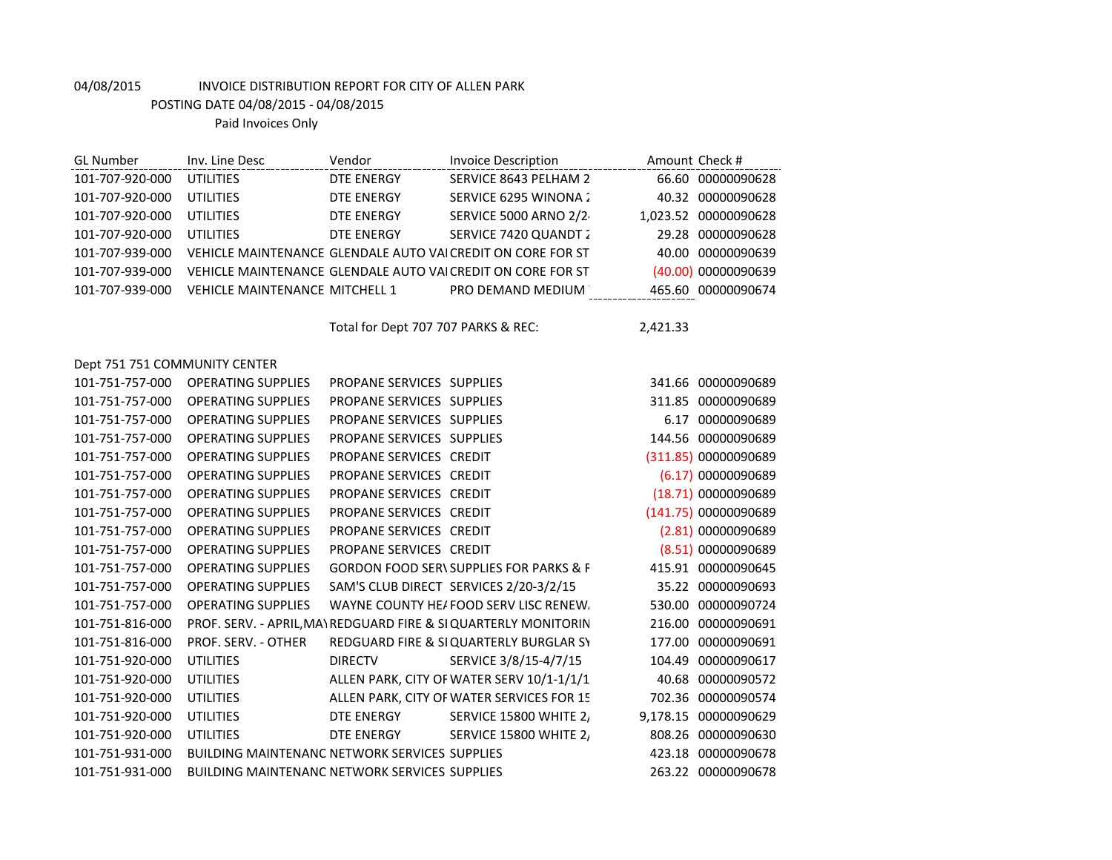| <b>GL Number</b>              | Inv. Line Desc                                       | Vendor                              | <b>Invoice Description</b>                                      | Amount Check #       |
|-------------------------------|------------------------------------------------------|-------------------------------------|-----------------------------------------------------------------|----------------------|
| 101-707-920-000               | <b>UTILITIES</b>                                     | <b>DTE ENERGY</b>                   | SERVICE 8643 PELHAM 2                                           | 66.60 00000090628    |
| 101-707-920-000               | <b>UTILITIES</b>                                     | <b>DTE ENERGY</b>                   | SERVICE 6295 WINONA 2                                           | 40.32 00000090628    |
| 101-707-920-000               | <b>UTILITIES</b>                                     | <b>DTE ENERGY</b>                   | <b>SERVICE 5000 ARNO 2/2</b>                                    | 1,023.52 00000090628 |
| 101-707-920-000               | <b>UTILITIES</b>                                     | <b>DTE ENERGY</b>                   | SERVICE 7420 QUANDT 2                                           | 29.28 00000090628    |
| 101-707-939-000               |                                                      |                                     | VEHICLE MAINTENANCE GLENDALE AUTO VAICREDIT ON CORE FOR ST      | 40.00 00000090639    |
| 101-707-939-000               |                                                      |                                     | VEHICLE MAINTENANCE GLENDALE AUTO VAICREDIT ON CORE FOR ST      | (40.00) 00000090639  |
| 101-707-939-000               | <b>VEHICLE MAINTENANCE MITCHELL 1</b>                |                                     | PRO DEMAND MEDIUM                                               | 465.60 00000090674   |
|                               |                                                      |                                     |                                                                 |                      |
|                               |                                                      | Total for Dept 707 707 PARKS & REC: |                                                                 | 2,421.33             |
| Dept 751 751 COMMUNITY CENTER |                                                      |                                     |                                                                 |                      |
| 101-751-757-000               | <b>OPERATING SUPPLIES</b>                            | PROPANE SERVICES SUPPLIES           |                                                                 | 341.66 00000090689   |
| 101-751-757-000               | <b>OPERATING SUPPLIES</b>                            | PROPANE SERVICES SUPPLIES           |                                                                 | 311.85 00000090689   |
| 101-751-757-000               | <b>OPERATING SUPPLIES</b>                            | PROPANE SERVICES SUPPLIES           |                                                                 | 6.17 00000090689     |
| 101-751-757-000               | <b>OPERATING SUPPLIES</b>                            | PROPANE SERVICES SUPPLIES           |                                                                 | 144.56 00000090689   |
| 101-751-757-000               | <b>OPERATING SUPPLIES</b>                            | PROPANE SERVICES CREDIT             |                                                                 | (311.85) 00000090689 |
| 101-751-757-000               | <b>OPERATING SUPPLIES</b>                            | PROPANE SERVICES CREDIT             |                                                                 | (6.17) 00000090689   |
| 101-751-757-000               | <b>OPERATING SUPPLIES</b>                            | PROPANE SERVICES CREDIT             |                                                                 | (18.71) 00000090689  |
| 101-751-757-000               | <b>OPERATING SUPPLIES</b>                            | PROPANE SERVICES CREDIT             |                                                                 | (141.75) 00000090689 |
| 101-751-757-000               | <b>OPERATING SUPPLIES</b>                            | PROPANE SERVICES CREDIT             |                                                                 | (2.81) 00000090689   |
| 101-751-757-000               | <b>OPERATING SUPPLIES</b>                            | PROPANE SERVICES CREDIT             |                                                                 | (8.51) 00000090689   |
| 101-751-757-000               | <b>OPERATING SUPPLIES</b>                            |                                     | <b>GORDON FOOD SER\ SUPPLIES FOR PARKS &amp; F</b>              | 415.91 00000090645   |
| 101-751-757-000               | <b>OPERATING SUPPLIES</b>                            |                                     | SAM'S CLUB DIRECT SERVICES 2/20-3/2/15                          | 35.22 00000090693    |
| 101-751-757-000               | <b>OPERATING SUPPLIES</b>                            |                                     | WAYNE COUNTY HE/FOOD SERV LISC RENEW.                           | 530.00 00000090724   |
| 101-751-816-000               |                                                      |                                     | PROF. SERV. - APRIL, MAY REDGUARD FIRE & SI QUARTERLY MONITORIN | 216.00 00000090691   |
| 101-751-816-000               | PROF. SERV. - OTHER                                  |                                     | REDGUARD FIRE & SI QUARTERLY BURGLAR SY                         | 177.00 00000090691   |
| 101-751-920-000               | <b>UTILITIES</b>                                     | <b>DIRECTV</b>                      | SERVICE 3/8/15-4/7/15                                           | 104.49 00000090617   |
| 101-751-920-000               | <b>UTILITIES</b>                                     |                                     | ALLEN PARK, CITY OF WATER SERV 10/1-1/1/1                       | 40.68 00000090572    |
| 101-751-920-000               | <b>UTILITIES</b>                                     |                                     | ALLEN PARK, CITY OF WATER SERVICES FOR 15                       | 702.36 00000090574   |
| 101-751-920-000               | <b>UTILITIES</b>                                     | <b>DTE ENERGY</b>                   | <b>SERVICE 15800 WHITE 2,</b>                                   | 9,178.15 00000090629 |
| 101-751-920-000               | <b>UTILITIES</b>                                     | <b>DTE ENERGY</b>                   | SERVICE 15800 WHITE 2,                                          | 808.26 00000090630   |
| 101-751-931-000               | <b>BUILDING MAINTENANC NETWORK SERVICES SUPPLIES</b> |                                     |                                                                 | 423.18 00000090678   |
| 101-751-931-000               | <b>BUILDING MAINTENANC NETWORK SERVICES SUPPLIES</b> |                                     |                                                                 | 263.22 00000090678   |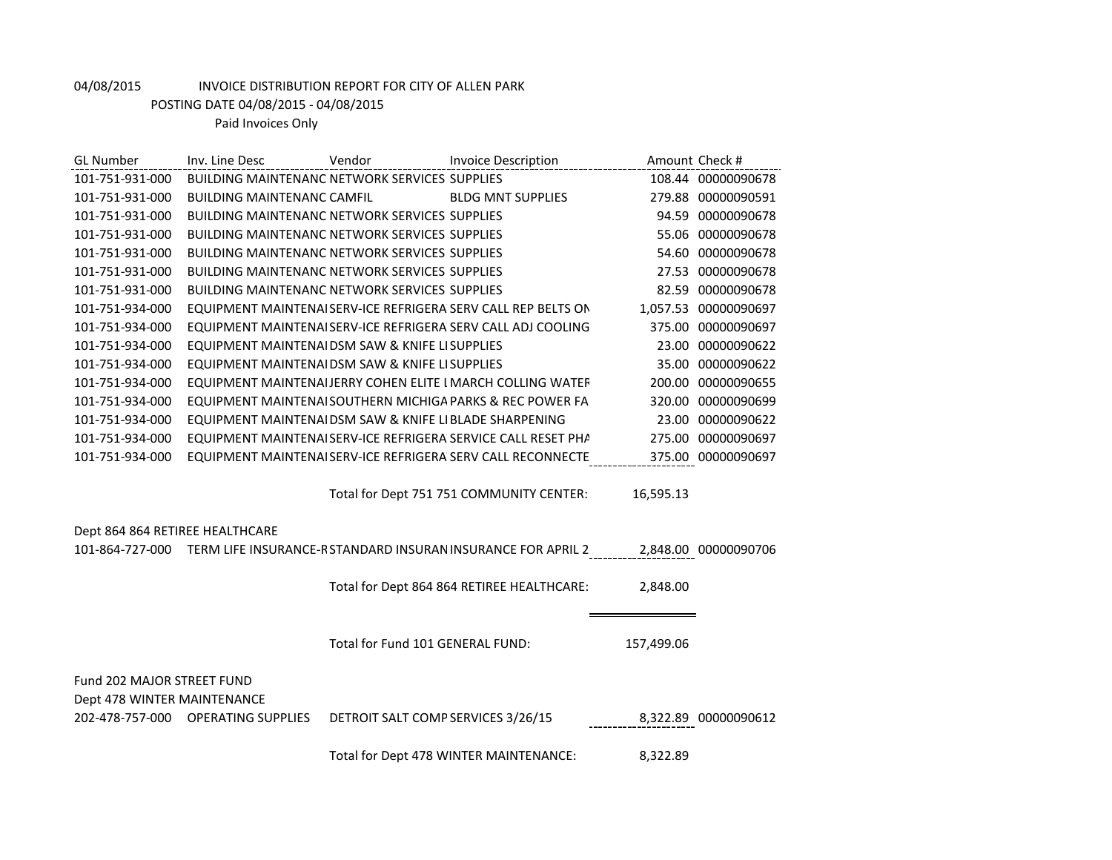POSTING DATE 04/08/2015 - 04/08/2015

| <b>GL Number</b>                | Inv. Line Desc                                        | Vendor                             | <b>Invoice Description</b>                                    |            | Amount Check #       |
|---------------------------------|-------------------------------------------------------|------------------------------------|---------------------------------------------------------------|------------|----------------------|
| 101-751-931-000                 | <b>BUILDING MAINTENANC NETWORK SERVICES SUPPLIES</b>  |                                    |                                                               |            | 108.44 00000090678   |
| 101-751-931-000                 | <b>BUILDING MAINTENANC CAMFIL</b>                     |                                    | <b>BLDG MNT SUPPLIES</b>                                      |            | 279.88 00000090591   |
| 101-751-931-000                 | BUILDING MAINTENANC NETWORK SERVICES SUPPLIES         |                                    |                                                               |            | 94.59 00000090678    |
| 101-751-931-000                 | BUILDING MAINTENANC NETWORK SERVICES SUPPLIES         |                                    |                                                               |            | 55.06 00000090678    |
| 101-751-931-000                 | <b>BUILDING MAINTENANC NETWORK SERVICES SUPPLIES</b>  |                                    |                                                               |            | 54.60 00000090678    |
| 101-751-931-000                 | <b>BUILDING MAINTENANC NETWORK SERVICES SUPPLIES</b>  |                                    |                                                               |            | 27.53 00000090678    |
| 101-751-931-000                 | <b>BUILDING MAINTENANC NETWORK SERVICES SUPPLIES</b>  |                                    |                                                               |            | 82.59 00000090678    |
| 101-751-934-000                 |                                                       |                                    | EQUIPMENT MAINTENAI SERV-ICE REFRIGERA SERV CALL REP BELTS ON |            | 1,057.53 00000090697 |
| 101-751-934-000                 |                                                       |                                    | EQUIPMENT MAINTENAISERV-ICE REFRIGERA SERV CALL ADJ COOLING   |            | 375.00 00000090697   |
| 101-751-934-000                 | EQUIPMENT MAINTENAIDSM SAW & KNIFE LISUPPLIES         |                                    |                                                               |            | 23.00 00000090622    |
| 101-751-934-000                 | EQUIPMENT MAINTENAIDSM SAW & KNIFE LISUPPLIES         |                                    |                                                               |            | 35.00 00000090622    |
| 101-751-934-000                 |                                                       |                                    | EQUIPMENT MAINTENAIJERRY COHEN ELITE I MARCH COLLING WATEF    |            | 200.00 00000090655   |
| 101-751-934-000                 |                                                       |                                    | EQUIPMENT MAINTENAI SOUTHERN MICHIGA PARKS & REC POWER FA     |            | 320.00 00000090699   |
| 101-751-934-000                 | EQUIPMENT MAINTENAIDSM SAW & KNIFE LIBLADE SHARPENING |                                    |                                                               |            | 23.00 00000090622    |
| 101-751-934-000                 |                                                       |                                    | EQUIPMENT MAINTENAI SERV-ICE REFRIGERA SERVICE CALL RESET PHA |            | 275.00 00000090697   |
| 101-751-934-000                 |                                                       |                                    | EQUIPMENT MAINTENAI SERV-ICE REFRIGERA SERV CALL RECONNECTE   |            | 375.00 00000090697   |
|                                 |                                                       |                                    | Total for Dept 751 751 COMMUNITY CENTER:                      | 16,595.13  |                      |
| Dept 864 864 RETIREE HEALTHCARE |                                                       |                                    |                                                               |            |                      |
| 101-864-727-000                 |                                                       |                                    | TERM LIFE INSURANCE-R STANDARD INSURAN INSURANCE FOR APRIL 2  |            | 2,848.00 00000090706 |
|                                 |                                                       |                                    | Total for Dept 864 864 RETIREE HEALTHCARE:                    | 2,848.00   |                      |
|                                 |                                                       | Total for Fund 101 GENERAL FUND:   |                                                               | 157,499.06 |                      |
| Fund 202 MAJOR STREET FUND      |                                                       |                                    |                                                               |            |                      |
| Dept 478 WINTER MAINTENANCE     |                                                       |                                    |                                                               |            |                      |
| 202-478-757-000                 | <b>OPERATING SUPPLIES</b>                             | DETROIT SALT COMP SERVICES 3/26/15 |                                                               |            | 8,322.89 00000090612 |
|                                 |                                                       |                                    | Total for Dept 478 WINTER MAINTENANCE:                        | 8,322.89   |                      |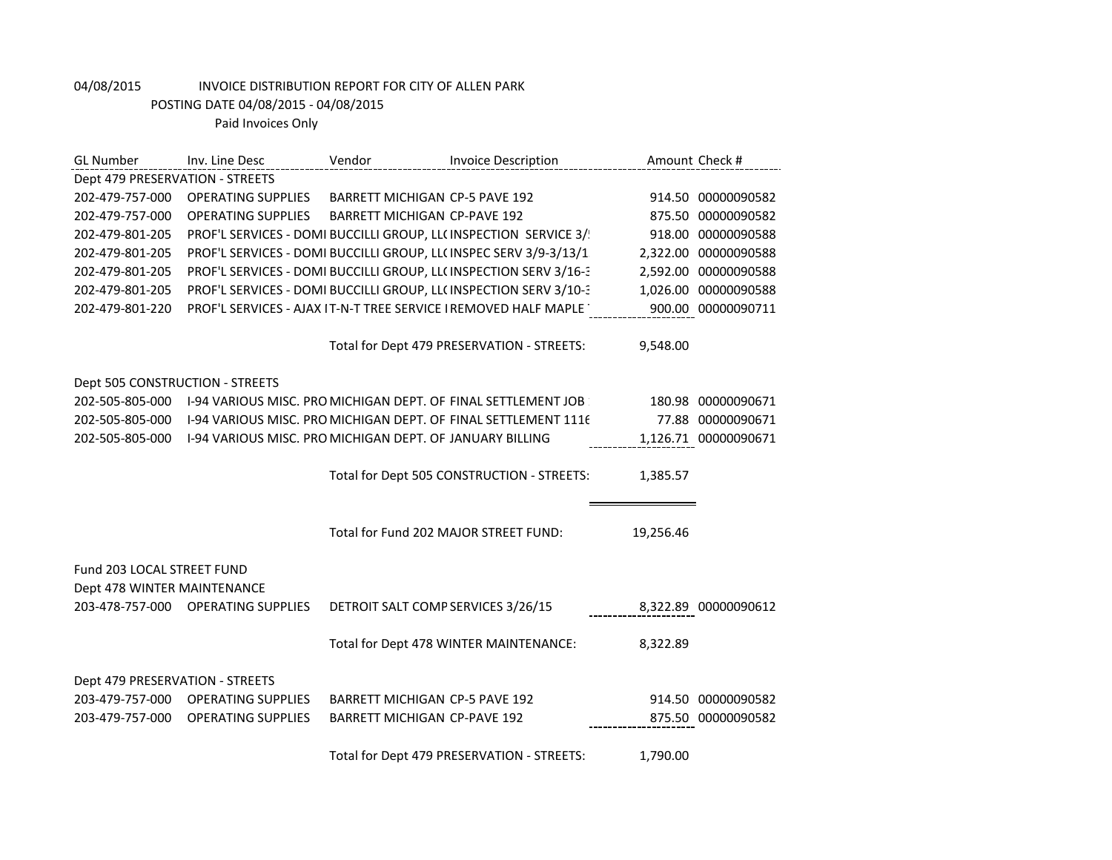| <b>GL Number</b>                | Inv. Line Desc                                           | Vendor                                | <b>Invoice Description</b>                                       |           | Amount Check #       |
|---------------------------------|----------------------------------------------------------|---------------------------------------|------------------------------------------------------------------|-----------|----------------------|
| Dept 479 PRESERVATION - STREETS |                                                          |                                       |                                                                  |           |                      |
| 202-479-757-000                 | <b>OPERATING SUPPLIES</b>                                | <b>BARRETT MICHIGAN CP-5 PAVE 192</b> |                                                                  |           | 914.50 00000090582   |
| 202-479-757-000                 | <b>OPERATING SUPPLIES</b>                                | <b>BARRETT MICHIGAN CP-PAVE 192</b>   |                                                                  |           | 875.50 00000090582   |
| 202-479-801-205                 |                                                          |                                       | PROF'L SERVICES - DOMI BUCCILLI GROUP, LL(INSPECTION SERVICE 3/  |           | 918.00 00000090588   |
| 202-479-801-205                 |                                                          |                                       | PROF'L SERVICES - DOMI BUCCILLI GROUP, LL(INSPEC SERV 3/9-3/13/1 |           | 2,322.00 00000090588 |
| 202-479-801-205                 |                                                          |                                       | PROF'L SERVICES - DOMI BUCCILLI GROUP, LL(INSPECTION SERV 3/16-3 |           | 2,592.00 00000090588 |
| 202-479-801-205                 |                                                          |                                       | PROF'L SERVICES - DOMI BUCCILLI GROUP, LL(INSPECTION SERV 3/10-3 |           | 1,026.00 00000090588 |
| 202-479-801-220                 |                                                          |                                       | PROF'L SERVICES - AJAX IT-N-T TREE SERVICE I REMOVED HALF MAPLE  |           | 900.00 00000090711   |
|                                 |                                                          |                                       |                                                                  |           |                      |
|                                 |                                                          |                                       | Total for Dept 479 PRESERVATION - STREETS:                       | 9,548.00  |                      |
|                                 |                                                          |                                       |                                                                  |           |                      |
| Dept 505 CONSTRUCTION - STREETS |                                                          |                                       |                                                                  |           |                      |
| 202-505-805-000                 |                                                          |                                       | 1-94 VARIOUS MISC. PRO MICHIGAN DEPT. OF FINAL SETTLEMENT JOB    |           | 180.98 00000090671   |
| 202-505-805-000                 |                                                          |                                       | 1-94 VARIOUS MISC. PRO MICHIGAN DEPT. OF FINAL SETTLEMENT 1116   |           | 77.88 00000090671    |
| 202-505-805-000                 | I-94 VARIOUS MISC. PRO MICHIGAN DEPT. OF JANUARY BILLING |                                       |                                                                  |           | 1,126.71 00000090671 |
|                                 |                                                          |                                       |                                                                  |           |                      |
|                                 |                                                          |                                       | Total for Dept 505 CONSTRUCTION - STREETS:                       | 1,385.57  |                      |
|                                 |                                                          |                                       |                                                                  |           |                      |
|                                 |                                                          |                                       |                                                                  |           |                      |
|                                 |                                                          |                                       | Total for Fund 202 MAJOR STREET FUND:                            | 19,256.46 |                      |
|                                 |                                                          |                                       |                                                                  |           |                      |
| Fund 203 LOCAL STREET FUND      |                                                          |                                       |                                                                  |           |                      |
| Dept 478 WINTER MAINTENANCE     |                                                          |                                       |                                                                  |           |                      |
|                                 | 203-478-757-000 OPERATING SUPPLIES                       | DETROIT SALT COMP SERVICES 3/26/15    |                                                                  |           | 8,322.89 00000090612 |
|                                 |                                                          |                                       |                                                                  |           |                      |
|                                 |                                                          |                                       | Total for Dept 478 WINTER MAINTENANCE:                           | 8,322.89  |                      |
|                                 |                                                          |                                       |                                                                  |           |                      |
| Dept 479 PRESERVATION - STREETS |                                                          |                                       |                                                                  |           |                      |
| 203-479-757-000                 | <b>OPERATING SUPPLIES</b>                                | <b>BARRETT MICHIGAN CP-5 PAVE 192</b> |                                                                  |           | 914.50 00000090582   |
| 203-479-757-000                 | <b>OPERATING SUPPLIES</b>                                | <b>BARRETT MICHIGAN CP-PAVE 192</b>   |                                                                  |           | 875.50 00000090582   |
|                                 |                                                          |                                       |                                                                  |           |                      |
|                                 |                                                          |                                       | Total for Dept 479 PRESERVATION - STREETS:                       | 1,790.00  |                      |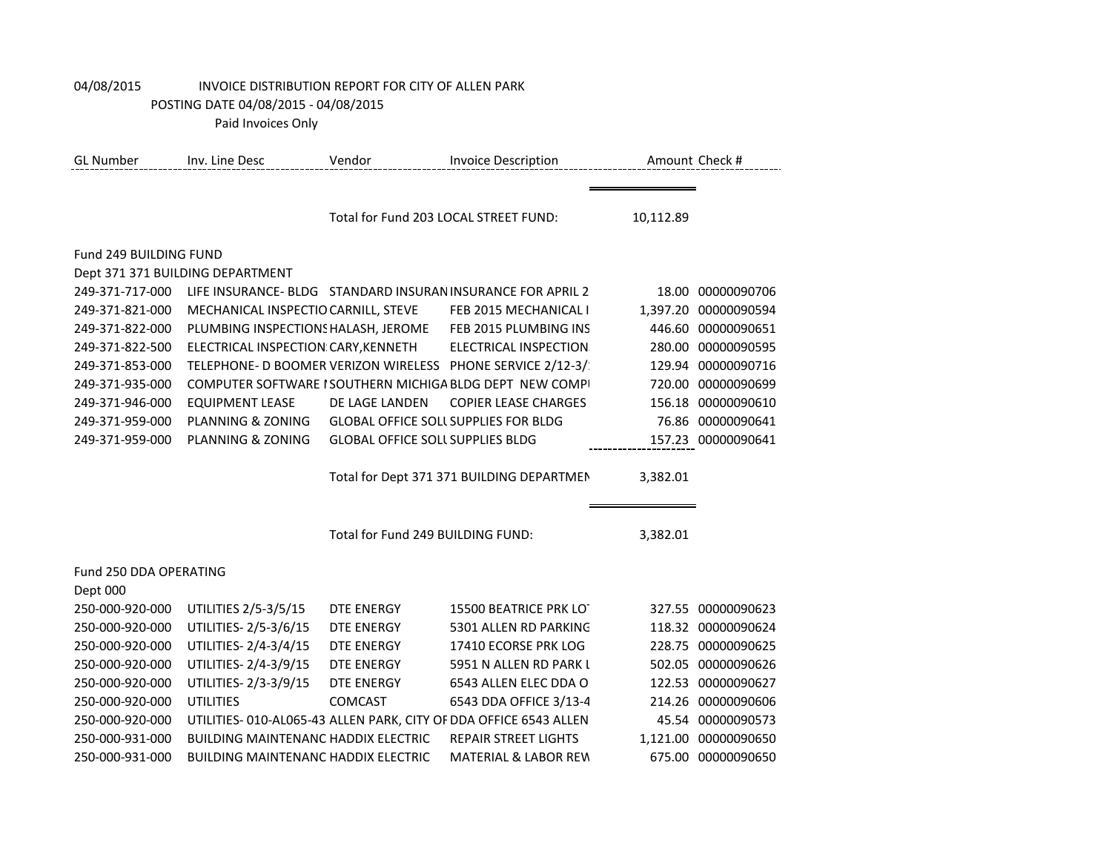| <b>GL Number</b>       | Inv. Line Desc                                             | Vendor                                  | <b>Invoice Description</b>                                        |           | Amount Check #       |  |  |  |
|------------------------|------------------------------------------------------------|-----------------------------------------|-------------------------------------------------------------------|-----------|----------------------|--|--|--|
|                        |                                                            |                                         |                                                                   |           |                      |  |  |  |
|                        |                                                            | Total for Fund 203 LOCAL STREET FUND:   |                                                                   | 10,112.89 |                      |  |  |  |
|                        |                                                            |                                         |                                                                   |           |                      |  |  |  |
|                        | Fund 249 BUILDING FUND<br>Dept 371 371 BUILDING DEPARTMENT |                                         |                                                                   |           |                      |  |  |  |
| 249-371-717-000        |                                                            |                                         | LIFE INSURANCE- BLDG STANDARD INSURAN INSURANCE FOR APRIL 2       |           | 18.00 00000090706    |  |  |  |
| 249-371-821-000        | MECHANICAL INSPECTIO CARNILL, STEVE                        |                                         | FEB 2015 MECHANICAL I                                             |           | 1,397.20 00000090594 |  |  |  |
| 249-371-822-000        | PLUMBING INSPECTIONS HALASH, JEROME                        |                                         | FEB 2015 PLUMBING INS                                             | 446.60    | 00000090651          |  |  |  |
| 249-371-822-500        | ELECTRICAL INSPECTION CARY, KENNETH                        |                                         | <b>ELECTRICAL INSPECTION</b>                                      | 280.00    | 00000090595          |  |  |  |
|                        |                                                            |                                         | TELEPHONE- D BOOMER VERIZON WIRELESS PHONE SERVICE 2/12-3/        |           | 00000090716          |  |  |  |
| 249-371-853-000        |                                                            |                                         |                                                                   | 129.94    |                      |  |  |  |
| 249-371-935-000        |                                                            |                                         | COMPUTER SOFTWARE I SOUTHERN MICHIGA BLDG DEPT NEW COMPI          |           | 720.00 00000090699   |  |  |  |
| 249-371-946-000        | <b>EQUIPMENT LEASE</b>                                     | DE LAGE LANDEN                          | <b>COPIER LEASE CHARGES</b>                                       | 156.18    | 00000090610          |  |  |  |
| 249-371-959-000        | PLANNING & ZONING                                          |                                         | <b>GLOBAL OFFICE SOLL SUPPLIES FOR BLDG</b>                       | 76.86     | 00000090641          |  |  |  |
| 249-371-959-000        | PLANNING & ZONING                                          | <b>GLOBAL OFFICE SOLL SUPPLIES BLDG</b> |                                                                   |           | 157.23 00000090641   |  |  |  |
|                        |                                                            |                                         | Total for Dept 371 371 BUILDING DEPARTMEN                         | 3,382.01  |                      |  |  |  |
|                        |                                                            | Total for Fund 249 BUILDING FUND:       |                                                                   | 3,382.01  |                      |  |  |  |
|                        |                                                            |                                         |                                                                   |           |                      |  |  |  |
| Fund 250 DDA OPERATING |                                                            |                                         |                                                                   |           |                      |  |  |  |
| Dept 000               |                                                            |                                         |                                                                   |           |                      |  |  |  |
| 250-000-920-000        | UTILITIES 2/5-3/5/15                                       | DTE ENERGY                              | 15500 BEATRICE PRK LOT                                            |           | 327.55 00000090623   |  |  |  |
| 250-000-920-000        | UTILITIES-2/5-3/6/15                                       | <b>DTE ENERGY</b>                       | 5301 ALLEN RD PARKING                                             |           | 118.32 00000090624   |  |  |  |
| 250-000-920-000        | UTILITIES-2/4-3/4/15                                       | <b>DTE ENERGY</b>                       | 17410 ECORSE PRK LOG                                              |           | 228.75 00000090625   |  |  |  |
| 250-000-920-000        | UTILITIES-2/4-3/9/15                                       | <b>DTE ENERGY</b>                       | 5951 N ALLEN RD PARK I                                            |           | 502.05 00000090626   |  |  |  |
| 250-000-920-000        | UTILITIES-2/3-3/9/15                                       | <b>DTE ENERGY</b>                       | 6543 ALLEN ELEC DDA O                                             |           | 122.53 00000090627   |  |  |  |
| 250-000-920-000        | <b>UTILITIES</b>                                           | <b>COMCAST</b>                          | 6543 DDA OFFICE 3/13-4                                            |           | 214.26 00000090606   |  |  |  |
| 250-000-920-000        |                                                            |                                         | UTILITIES- 010-AL065-43 ALLEN PARK, CITY OF DDA OFFICE 6543 ALLEN |           | 45.54 00000090573    |  |  |  |
| 250-000-931-000        | <b>BUILDING MAINTENANC HADDIX ELECTRIC</b>                 |                                         | <b>REPAIR STREET LIGHTS</b>                                       | 1,121.00  | 00000090650          |  |  |  |
| 250-000-931-000        | <b>BUILDING MAINTENANC HADDIX ELECTRIC</b>                 |                                         | <b>MATERIAL &amp; LABOR REW</b>                                   | 675.00    | 00000090650          |  |  |  |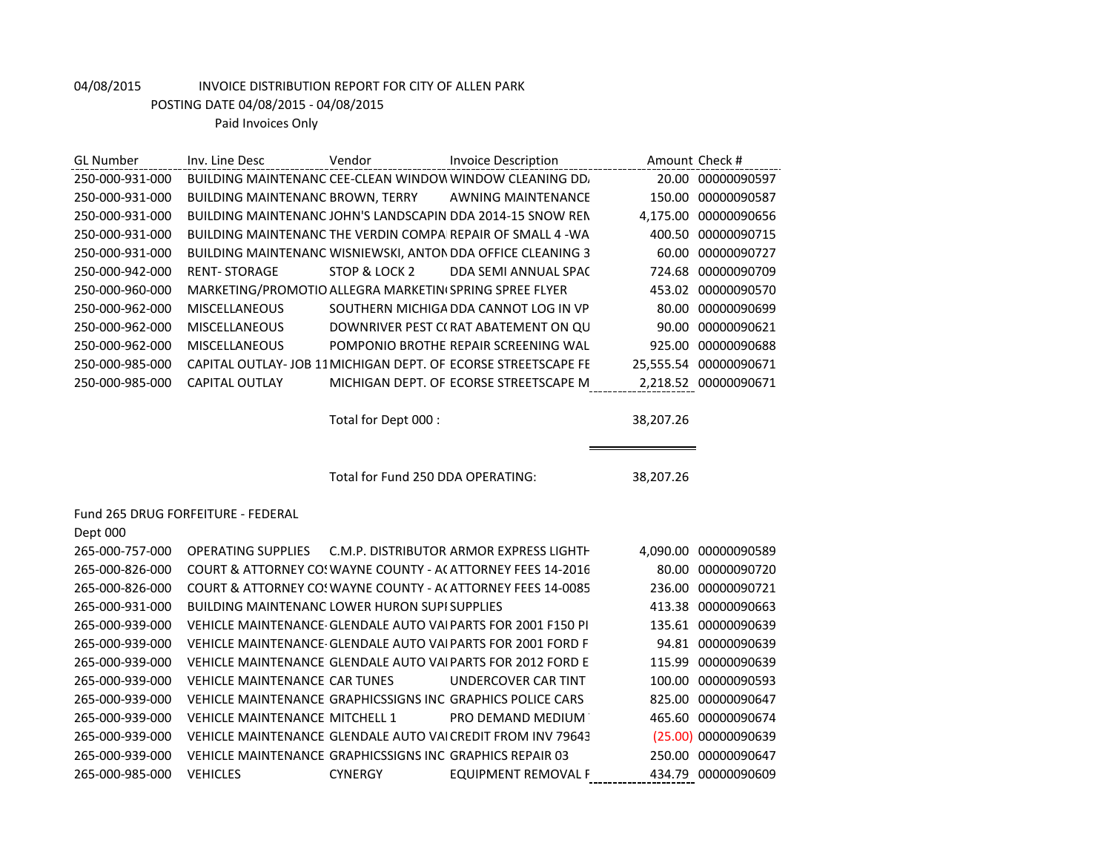| <b>GL Number</b> | Inv. Line Desc                                             | Vendor                            | <b>Invoice Description</b>                                    |           | Amount Check #       |
|------------------|------------------------------------------------------------|-----------------------------------|---------------------------------------------------------------|-----------|----------------------|
| 250-000-931-000  |                                                            |                                   | BUILDING MAINTENANC CEE-CLEAN WINDOW WINDOW CLEANING DD.      |           | 20.00 00000090597    |
| 250-000-931-000  | BUILDING MAINTENANC BROWN, TERRY                           |                                   | <b>AWNING MAINTENANCE</b>                                     |           | 150.00 00000090587   |
| 250-000-931-000  |                                                            |                                   | BUILDING MAINTENANC JOHN'S LANDSCAPIN DDA 2014-15 SNOW REN    |           | 4,175.00 00000090656 |
| 250-000-931-000  |                                                            |                                   | BUILDING MAINTENANC THE VERDIN COMPAIREPAIR OF SMALL 4 - WA   |           | 400.50 00000090715   |
| 250-000-931-000  |                                                            |                                   | BUILDING MAINTENANC WISNIEWSKI, ANTON DDA OFFICE CLEANING 3   | 60.00     | 00000090727          |
| 250-000-942-000  | <b>RENT-STORAGE</b>                                        | STOP & LOCK 2                     | DDA SEMI ANNUAL SPAC                                          |           | 724.68 00000090709   |
| 250-000-960-000  | MARKETING/PROMOTIO ALLEGRA MARKETINI SPRING SPREE FLYER    |                                   |                                                               |           | 453.02 00000090570   |
| 250-000-962-000  | <b>MISCELLANEOUS</b>                                       |                                   | SOUTHERN MICHIGA DDA CANNOT LOG IN VP                         |           | 80.00 00000090699    |
| 250-000-962-000  | <b>MISCELLANEOUS</b>                                       |                                   | DOWNRIVER PEST C(RAT ABATEMENT ON QU                          | 90.00     | 00000090621          |
| 250-000-962-000  | <b>MISCELLANEOUS</b>                                       |                                   | POMPONIO BROTHE REPAIR SCREENING WAL                          | 925.00    | 00000090688          |
| 250-000-985-000  |                                                            |                                   | CAPITAL OUTLAY-JOB 11 MICHIGAN DEPT. OF ECORSE STREETSCAPE FE | 25,555.54 | 00000090671          |
| 250-000-985-000  | <b>CAPITAL OUTLAY</b>                                      |                                   | MICHIGAN DEPT. OF ECORSE STREETSCAPE M                        |           | 2,218.52 00000090671 |
|                  |                                                            | Total for Dept 000 :              |                                                               | 38,207.26 |                      |
|                  |                                                            |                                   |                                                               |           |                      |
|                  |                                                            |                                   |                                                               |           |                      |
|                  |                                                            | Total for Fund 250 DDA OPERATING: |                                                               | 38,207.26 |                      |
|                  |                                                            |                                   |                                                               |           |                      |
|                  | Fund 265 DRUG FORFEITURE - FEDERAL                         |                                   |                                                               |           |                      |
| Dept 000         |                                                            |                                   |                                                               |           |                      |
| 265-000-757-000  | <b>OPERATING SUPPLIES</b>                                  |                                   | C.M.P. DISTRIBUTOR ARMOR EXPRESS LIGHTH                       |           | 4,090.00 00000090589 |
| 265-000-826-000  |                                                            |                                   | COURT & ATTORNEY CO! WAYNE COUNTY - ACATTORNEY FEES 14-2016   |           | 80.00 00000090720    |
| 265-000-826-000  |                                                            |                                   | COURT & ATTORNEY CO! WAYNE COUNTY - ACATTORNEY FEES 14-0085   |           | 236.00 00000090721   |
| 265-000-931-000  | <b>BUILDING MAINTENANC LOWER HURON SUPISUPPLIES</b>        |                                   |                                                               |           | 413.38 00000090663   |
| 265-000-939-000  |                                                            |                                   | VEHICLE MAINTENANCE GLENDALE AUTO VAI PARTS FOR 2001 F150 PI  | 135.61    | 00000090639          |
| 265-000-939-000  |                                                            |                                   | VEHICLE MAINTENANCE GLENDALE AUTO VAI PARTS FOR 2001 FORD F   |           | 94.81 00000090639    |
| 265-000-939-000  |                                                            |                                   | VEHICLE MAINTENANCE GLENDALE AUTO VAI PARTS FOR 2012 FORD E   |           | 115.99 00000090639   |
| 265-000-939-000  | <b>VEHICLE MAINTENANCE CAR TUNES</b>                       |                                   | <b>UNDERCOVER CAR TINT</b>                                    |           | 100.00 00000090593   |
| 265-000-939-000  | VEHICLE MAINTENANCE GRAPHICSSIGNS INC GRAPHICS POLICE CARS |                                   |                                                               | 825.00    | 00000090647          |
| 265-000-939-000  | <b>VEHICLE MAINTENANCE MITCHELL 1</b>                      |                                   | PRO DEMAND MEDIUM                                             |           | 465.60 00000090674   |
| 265-000-939-000  |                                                            |                                   | VEHICLE MAINTENANCE GLENDALE AUTO VALCREDIT FROM INV 79643    |           | (25.00) 00000090639  |
| 265-000-939-000  | VEHICLE MAINTENANCE GRAPHICSSIGNS INC GRAPHICS REPAIR 03   |                                   |                                                               |           | 250.00 00000090647   |

265-000-985-000 VEHICLES CYNERGY EQUIPMENT REMOVAL F 434.79 00000090609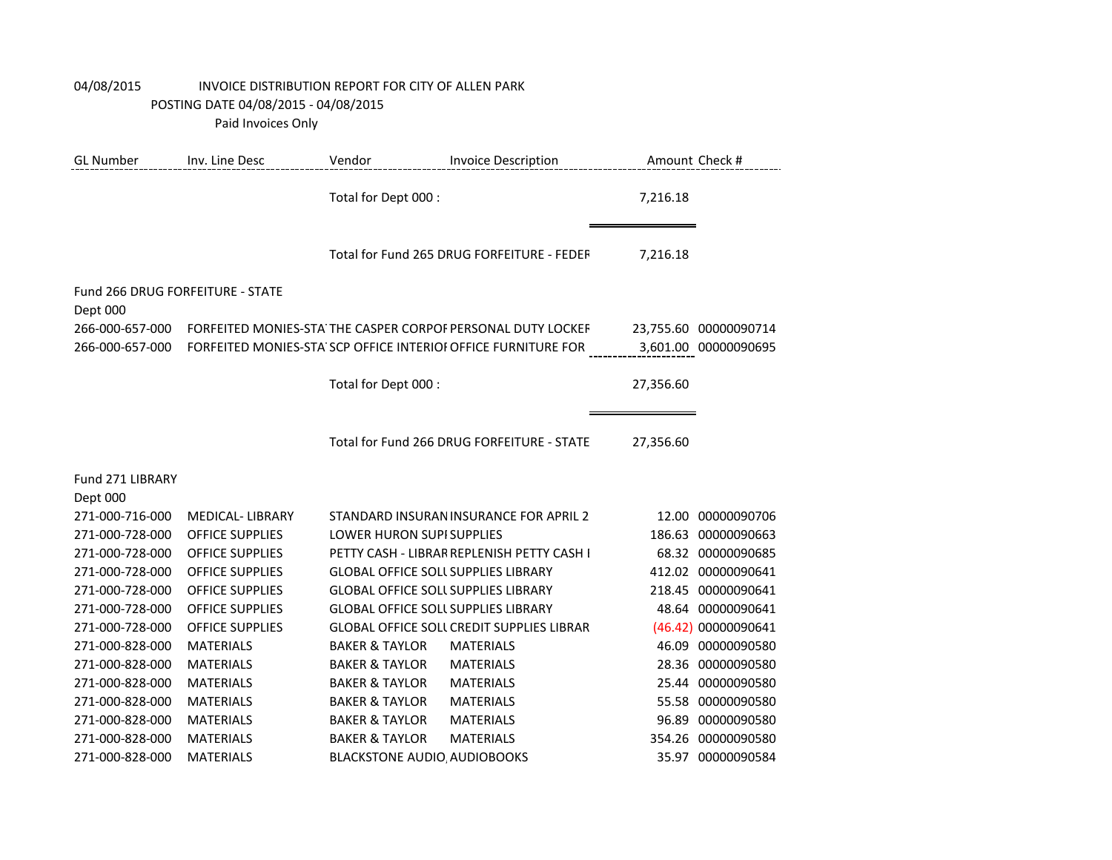| <b>GL Number</b>                             | Inv. Line Desc                                   | Vendor                                     | <b>Invoice Description</b>                                    |                 | Amount Check #                   |
|----------------------------------------------|--------------------------------------------------|--------------------------------------------|---------------------------------------------------------------|-----------------|----------------------------------|
|                                              |                                                  | Total for Dept 000 :                       |                                                               | 7,216.18        |                                  |
|                                              |                                                  |                                            | Total for Fund 265 DRUG FORFEITURE - FEDER                    | 7,216.18        |                                  |
| Fund 266 DRUG FORFEITURE - STATE<br>Dept 000 |                                                  |                                            |                                                               |                 |                                  |
| 266-000-657-000                              |                                                  |                                            | FORFEITED MONIES-STA THE CASPER CORPOF PERSONAL DUTY LOCKEF   |                 | 23,755.60 00000090714            |
| 266-000-657-000                              |                                                  |                                            | FORFEITED MONIES-STA SCP OFFICE INTERIOI OFFICE FURNITURE FOR |                 | 3,601.00 00000090695             |
|                                              |                                                  | Total for Dept 000 :                       |                                                               | 27,356.60       |                                  |
|                                              |                                                  |                                            | Total for Fund 266 DRUG FORFEITURE - STATE                    | 27,356.60       |                                  |
| Fund 271 LIBRARY                             |                                                  |                                            |                                                               |                 |                                  |
| Dept 000                                     |                                                  |                                            |                                                               |                 |                                  |
| 271-000-716-000                              | <b>MEDICAL-LIBRARY</b>                           | <b>LOWER HURON SUPI SUPPLIES</b>           | STANDARD INSURAN INSURANCE FOR APRIL 2                        | 12.00<br>186.63 | 00000090706                      |
| 271-000-728-000<br>271-000-728-000           | <b>OFFICE SUPPLIES</b><br><b>OFFICE SUPPLIES</b> |                                            | PETTY CASH - LIBRAR REPLENISH PETTY CASH I                    |                 | 00000090663<br>68.32 00000090685 |
| 271-000-728-000                              | <b>OFFICE SUPPLIES</b>                           | <b>GLOBAL OFFICE SOLL SUPPLIES LIBRARY</b> |                                                               |                 | 412.02 00000090641               |
| 271-000-728-000                              | <b>OFFICE SUPPLIES</b>                           | <b>GLOBAL OFFICE SOLL SUPPLIES LIBRARY</b> |                                                               |                 | 218.45 00000090641               |
| 271-000-728-000                              | <b>OFFICE SUPPLIES</b>                           | <b>GLOBAL OFFICE SOLL SUPPLIES LIBRARY</b> |                                                               |                 | 48.64 00000090641                |
| 271-000-728-000                              | <b>OFFICE SUPPLIES</b>                           |                                            | <b>GLOBAL OFFICE SOLL CREDIT SUPPLIES LIBRAR</b>              |                 | (46.42) 00000090641              |
| 271-000-828-000                              | <b>MATERIALS</b>                                 | <b>BAKER &amp; TAYLOR</b>                  | <b>MATERIALS</b>                                              | 46.09           | 00000090580                      |
| 271-000-828-000                              | <b>MATERIALS</b>                                 | <b>BAKER &amp; TAYLOR</b>                  | <b>MATERIALS</b>                                              | 28.36           | 00000090580                      |
| 271-000-828-000                              | <b>MATERIALS</b>                                 | <b>BAKER &amp; TAYLOR</b>                  | <b>MATERIALS</b>                                              | 25.44           | 00000090580                      |
| 271-000-828-000                              | <b>MATERIALS</b>                                 | <b>BAKER &amp; TAYLOR</b>                  | <b>MATERIALS</b>                                              |                 | 55.58 00000090580                |
| 271-000-828-000                              | <b>MATERIALS</b>                                 | <b>BAKER &amp; TAYLOR</b>                  | <b>MATERIALS</b>                                              | 96.89           | 00000090580                      |
| 271-000-828-000                              | <b>MATERIALS</b>                                 | <b>BAKER &amp; TAYLOR</b>                  | <b>MATERIALS</b>                                              |                 | 354.26 00000090580               |
| 271-000-828-000                              | <b>MATERIALS</b>                                 | <b>BLACKSTONE AUDIO AUDIOBOOKS</b>         |                                                               |                 | 35.97 00000090584                |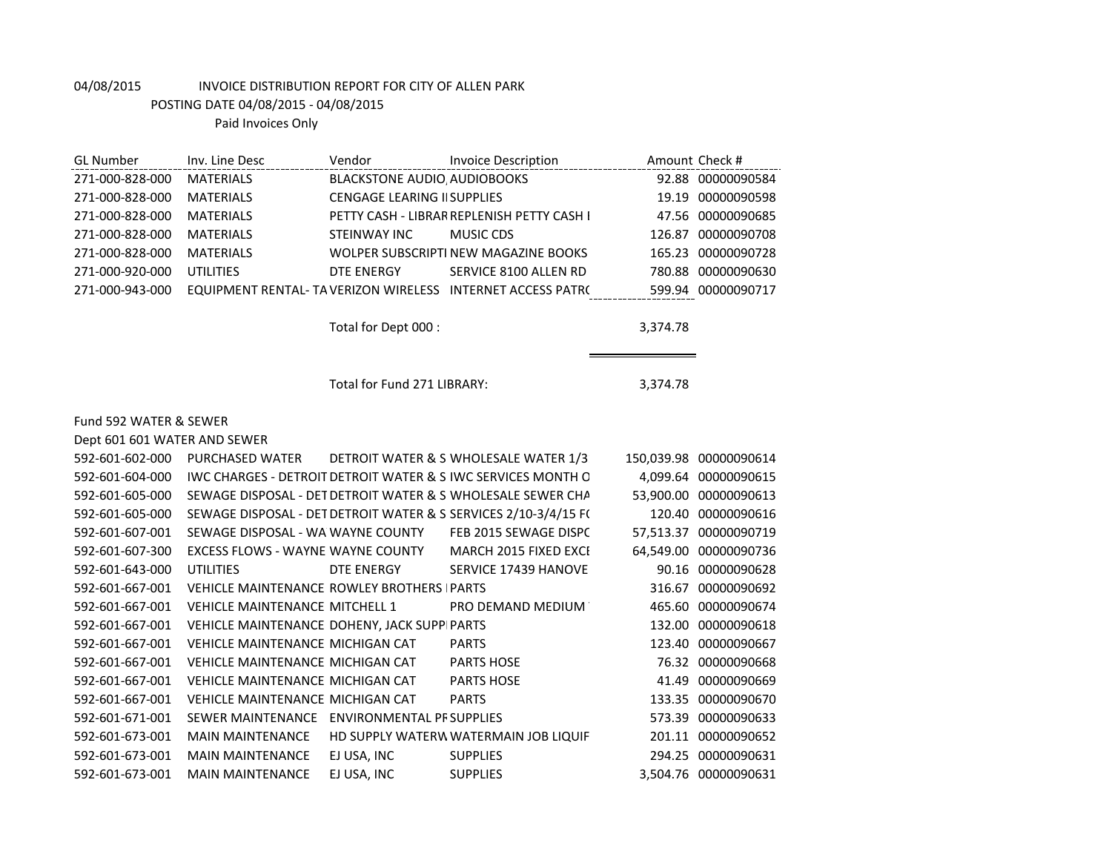| GL Number       | Inv. Line Desc   | Vendor                             | <b>Invoice Description</b>                                  |        | Amount Check #     |
|-----------------|------------------|------------------------------------|-------------------------------------------------------------|--------|--------------------|
| 271-000-828-000 | <b>MATERIALS</b> | <b>BLACKSTONE AUDIO AUDIOBOOKS</b> |                                                             |        | 92.88 00000090584  |
| 271-000-828-000 | <b>MATERIALS</b> | <b>CENGAGE LEARING II SUPPLIES</b> |                                                             |        | 19.19 00000090598  |
| 271-000-828-000 | <b>MATERIALS</b> |                                    | PETTY CASH - LIBRAR REPLENISH PETTY CASH I                  |        | 47.56 00000090685  |
| 271-000-828-000 | <b>MATFRIALS</b> | STEINWAY INC                       | MUSIC CDS                                                   | 126.87 | 00000090708        |
| 271-000-828-000 | <b>MATFRIALS</b> |                                    | WOLPER SUBSCRIPTI NEW MAGAZINE BOOKS                        |        | 165.23 00000090728 |
| 271-000-920-000 | UTILITIES        | DTE ENERGY                         | SERVICE 8100 ALLEN RD                                       | 780.88 | 00000090630        |
| 271-000-943-000 |                  |                                    | EQUIPMENT RENTAL- TA VERIZON WIRELESS INTERNET ACCESS PATRO |        | 599.94 00000090717 |
|                 |                  |                                    |                                                             |        |                    |

Total for Dept 000 : 3,374.78

eri

Total for Fund 271 LIBRARY: 3,374.78

### Fund 592 WATER & SEWER

| Dept 601 601 WATER AND SEWER |                                                    |             |                                                                         |           |                        |  |
|------------------------------|----------------------------------------------------|-------------|-------------------------------------------------------------------------|-----------|------------------------|--|
| 592-601-602-000              | PURCHASED WATER                                    |             | DETROIT WATER & S WHOLESALE WATER 1/3                                   |           | 150,039.98 00000090614 |  |
| 592-601-604-000              |                                                    |             | <b>IWC CHARGES - DETROIT DETROIT WATER &amp; S IWC SERVICES MONTH O</b> |           | 4.099.64 00000090615   |  |
| 592-601-605-000              |                                                    |             | SEWAGE DISPOSAL - DET DETROIT WATER & S WHOLESALE SEWER CHA             |           | 53,900.00 00000090613  |  |
| 592-601-605-000              |                                                    |             | SEWAGE DISPOSAL - DET DETROIT WATER & S SERVICES 2/10-3/4/15 F(         |           | 120.40 00000090616     |  |
| 592-601-607-001              | SEWAGE DISPOSAL - WA WAYNE COUNTY                  |             | FEB 2015 SEWAGE DISPC                                                   | 57,513.37 | 00000090719            |  |
| 592-601-607-300              | EXCESS FLOWS - WAYNE WAYNE COUNTY                  |             | MARCH 2015 FIXED EXCI                                                   |           | 64,549.00 00000090736  |  |
| 592-601-643-000              | UTILITIES                                          | DTE ENERGY  | SERVICE 17439 HANOVE                                                    |           | 90.16 00000090628      |  |
| 592-601-667-001              | <b>VEHICLE MAINTENANCE ROWLEY BROTHERS   PARTS</b> |             |                                                                         | 316.67    | 00000090692            |  |
| 592-601-667-001              | <b>VEHICLE MAINTENANCE MITCHELL 1</b>              |             | PRO DEMAND MEDIUM                                                       |           | 465.60 00000090674     |  |
| 592-601-667-001              | VEHICLE MAINTENANCE DOHENY, JACK SUPPIPARTS        |             |                                                                         |           | 132.00 00000090618     |  |
| 592-601-667-001              | VEHICLE MAINTENANCE MICHIGAN CAT                   |             | <b>PARTS</b>                                                            |           | 123.40 00000090667     |  |
| 592-601-667-001              | VEHICLE MAINTENANCE MICHIGAN CAT                   |             | <b>PARTS HOSE</b>                                                       |           | 76.32 00000090668      |  |
| 592-601-667-001              | VEHICLE MAINTENANCE MICHIGAN CAT                   |             | <b>PARTS HOSE</b>                                                       | 41.49     | 00000090669            |  |
| 592-601-667-001              | VEHICLE MAINTENANCE MICHIGAN CAT                   |             | <b>PARTS</b>                                                            |           | 133.35 00000090670     |  |
| 592-601-671-001              | SEWER MAINTENANCE ENVIRONMENTAL PF SUPPLIES        |             |                                                                         | 573.39    | 00000090633            |  |
| 592-601-673-001              | <b>MAIN MAINTENANCE</b>                            |             | HD SUPPLY WATERW WATERMAIN JOB LIQUIF                                   |           | 201.11 00000090652     |  |
| 592-601-673-001              | <b>MAIN MAINTENANCE</b>                            | EJ USA, INC | <b>SUPPLIES</b>                                                         |           | 294.25 00000090631     |  |
| 592-601-673-001              | <b>MAIN MAINTENANCE</b>                            | EJ USA, INC | <b>SUPPLIES</b>                                                         |           | 3,504.76 00000090631   |  |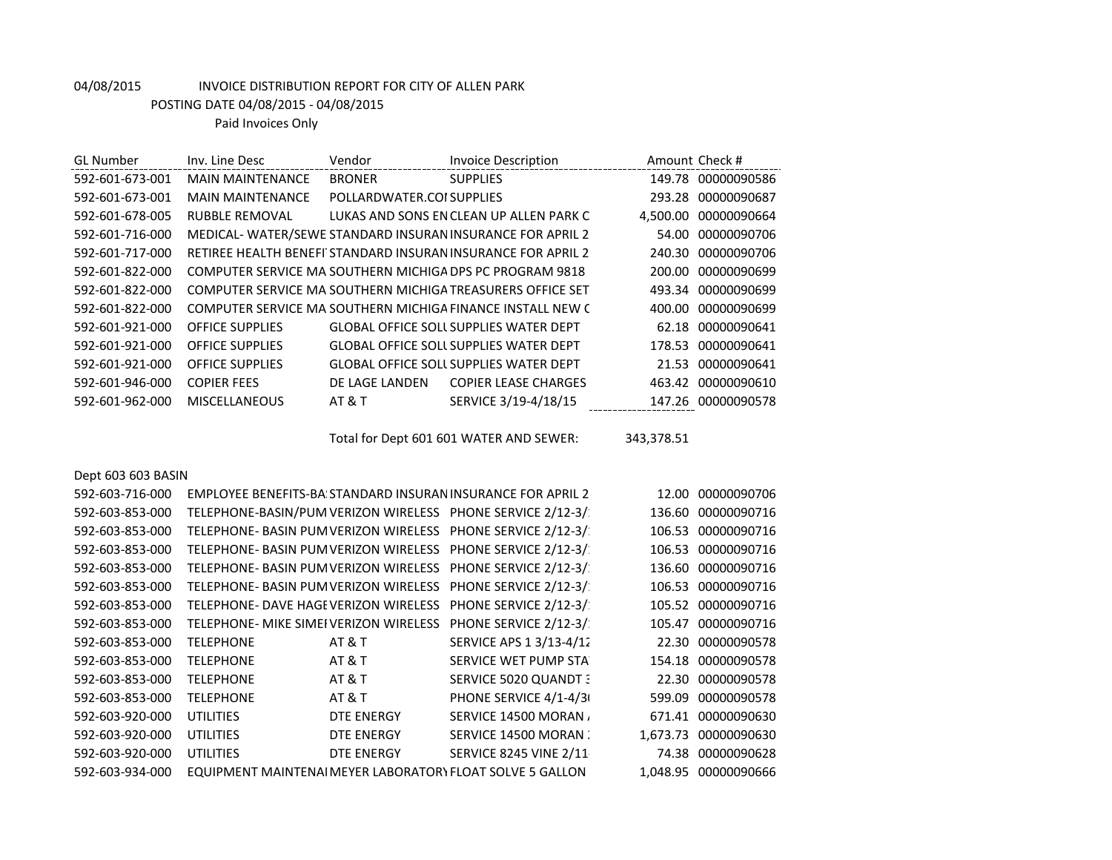POSTING DATE 04/08/2015 - 04/08/2015

| <b>GL Number</b>   | Inv. Line Desc                         | Vendor                    | <b>Invoice Description</b>                                         |            | Amount Check #       |
|--------------------|----------------------------------------|---------------------------|--------------------------------------------------------------------|------------|----------------------|
| 592-601-673-001    | <b>MAIN MAINTENANCE</b>                | <b>BRONER</b>             | <b>SUPPLIES</b>                                                    |            | 149.78 00000090586   |
| 592-601-673-001    | <b>MAIN MAINTENANCE</b>                | POLLARDWATER.COI SUPPLIES |                                                                    |            | 293.28 00000090687   |
| 592-601-678-005    | <b>RUBBLE REMOVAL</b>                  |                           | LUKAS AND SONS EN CLEAN UP ALLEN PARK C                            |            | 4,500.00 00000090664 |
| 592-601-716-000    |                                        |                           | MEDICAL-WATER/SEWE STANDARD INSURAN INSURANCE FOR APRIL 2          |            | 54.00 00000090706    |
| 592-601-717-000    |                                        |                           | RETIREE HEALTH BENEFI STANDARD INSURAN INSURANCE FOR APRIL 2       | 240.30     | 00000090706          |
| 592-601-822-000    |                                        |                           | COMPUTER SERVICE MA SOUTHERN MICHIGA DPS PC PROGRAM 9818           | 200.00     | 00000090699          |
| 592-601-822-000    |                                        |                           | COMPUTER SERVICE MA SOUTHERN MICHIGA TREASURERS OFFICE SET         | 493.34     | 00000090699          |
| 592-601-822-000    |                                        |                           | COMPUTER SERVICE MA SOUTHERN MICHIGA FINANCE INSTALL NEW (         | 400.00     | 00000090699          |
| 592-601-921-000    | <b>OFFICE SUPPLIES</b>                 |                           | GLOBAL OFFICE SOLL SUPPLIES WATER DEPT                             |            | 62.18 00000090641    |
| 592-601-921-000    | <b>OFFICE SUPPLIES</b>                 |                           | <b>GLOBAL OFFICE SOLL SUPPLIES WATER DEPT</b>                      | 178.53     | 00000090641          |
| 592-601-921-000    | <b>OFFICE SUPPLIES</b>                 |                           | <b>GLOBAL OFFICE SOLL SUPPLIES WATER DEPT</b>                      |            | 21.53 00000090641    |
| 592-601-946-000    | <b>COPIER FEES</b>                     | DE LAGE LANDEN            | <b>COPIER LEASE CHARGES</b>                                        |            | 463.42 00000090610   |
| 592-601-962-000    | <b>MISCELLANEOUS</b>                   | <b>AT &amp; T</b>         | SERVICE 3/19-4/18/15                                               |            | 147.26 00000090578   |
|                    |                                        |                           |                                                                    |            |                      |
|                    |                                        |                           | Total for Dept 601 601 WATER AND SEWER:                            | 343,378.51 |                      |
|                    |                                        |                           |                                                                    |            |                      |
| Dept 603 603 BASIN |                                        |                           |                                                                    |            |                      |
| 592-603-716-000    |                                        |                           | <b>EMPLOYEE BENEFITS-BA STANDARD INSURAN INSURANCE FOR APRIL 2</b> | 12.00      | 00000090706          |
| 592-603-853-000    |                                        |                           | TELEPHONE-BASIN/PUM VERIZON WIRELESS PHONE SERVICE 2/12-3/         |            | 136.60 00000090716   |
| 592-603-853-000    | TELEPHONE- BASIN PUM VERIZON WIRELESS  |                           | PHONE SERVICE 2/12-3/                                              |            | 106.53 00000090716   |
| 592-603-853-000    | TELEPHONE- BASIN PUM VERIZON WIRELESS  |                           | PHONE SERVICE 2/12-3/                                              |            | 106.53 00000090716   |
| 592-603-853-000    | TELEPHONE- BASIN PUM VERIZON WIRELESS  |                           | PHONE SERVICE 2/12-3/                                              |            | 136.60 00000090716   |
| 592-603-853-000    | TELEPHONE- BASIN PUM VERIZON WIRELESS  |                           | PHONE SERVICE 2/12-3/                                              | 106.53     | 00000090716          |
| 592-603-853-000    | TELEPHONE- DAVE HAGE VERIZON WIRELESS  |                           | PHONE SERVICE 2/12-3/                                              |            | 105.52 00000090716   |
| 592-603-853-000    | TELEPHONE- MIKE SIMEI VERIZON WIRELESS |                           | PHONE SERVICE 2/12-3/                                              |            | 105.47 00000090716   |
| 592-603-853-000    | <b>TELEPHONE</b>                       | <b>AT &amp; T</b>         | SERVICE APS 1 3/13-4/12                                            | 22.30      | 00000090578          |
| 592-603-853-000    | <b>TELEPHONE</b>                       | <b>AT &amp; T</b>         | SERVICE WET PUMP STA                                               | 154.18     | 00000090578          |
| 592-603-853-000    | <b>TELEPHONE</b>                       | <b>AT &amp; T</b>         | SERVICE 5020 QUANDT 3                                              | 22.30      | 00000090578          |
| 592-603-853-000    | <b>TELEPHONE</b>                       | AT&T                      | PHONE SERVICE 4/1-4/3                                              | 599.09     | 00000090578          |
| 592-603-920-000    | <b>UTILITIES</b>                       | <b>DTE ENERGY</b>         | SERVICE 14500 MORAN                                                |            | 671.41 00000090630   |
| 592-603-920-000    | <b>UTILITIES</b>                       | <b>DTE ENERGY</b>         | SERVICE 14500 MORAN                                                |            | 1,673.73 00000090630 |
| 592-603-920-000    | <b>UTILITIES</b>                       | <b>DTE ENERGY</b>         | <b>SERVICE 8245 VINE 2/11</b>                                      |            | 74.38 00000090628    |
| 592-603-934-000    |                                        |                           | EQUIPMENT MAINTENAI MEYER LABORATORY FLOAT SOLVE 5 GALLON          |            | 1,048.95 00000090666 |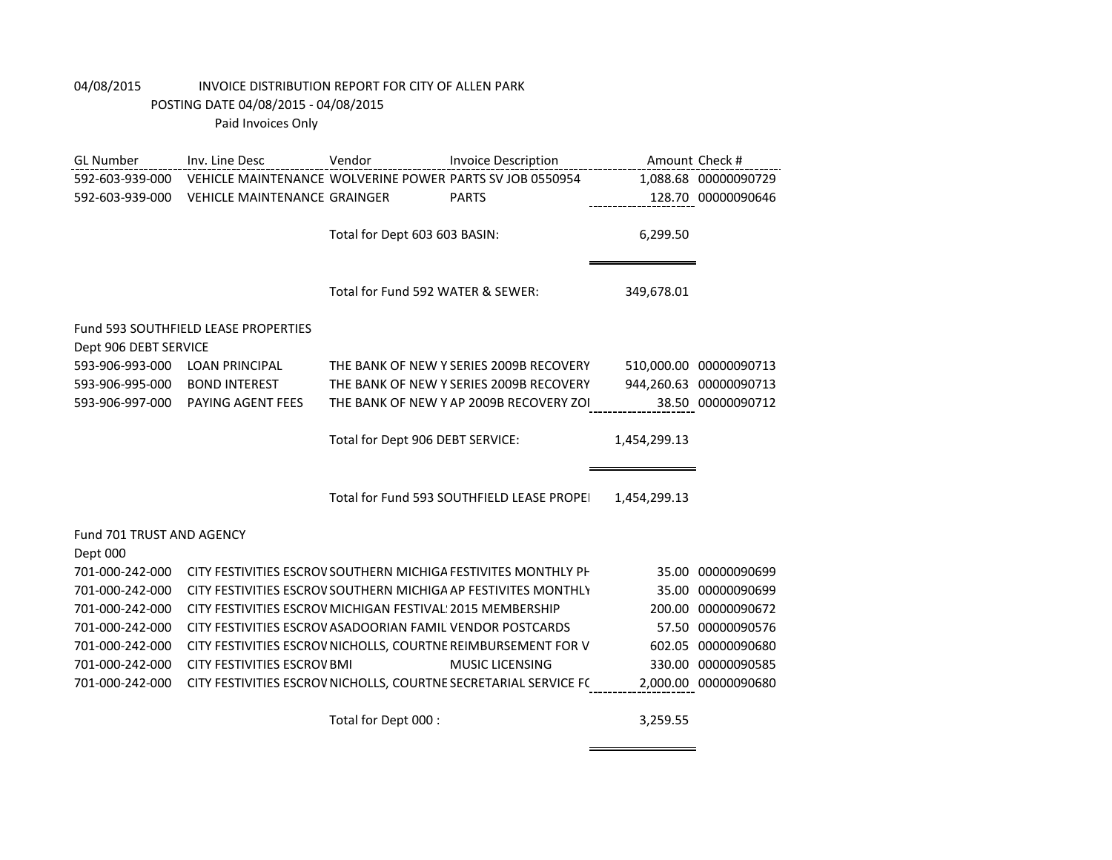| <b>GL Number</b>                 | Inv. Line Desc                                             | Vendor                            | <b>Invoice Description</b>                                       |              | Amount Check #         |
|----------------------------------|------------------------------------------------------------|-----------------------------------|------------------------------------------------------------------|--------------|------------------------|
| 592-603-939-000                  | VEHICLE MAINTENANCE WOLVERINE POWER PARTS SV JOB 0550954   |                                   |                                                                  |              | 1,088.68 00000090729   |
| 592-603-939-000                  | <b>VEHICLE MAINTENANCE GRAINGER</b>                        |                                   | <b>PARTS</b>                                                     |              | 128.70 00000090646     |
|                                  |                                                            |                                   |                                                                  |              |                        |
|                                  |                                                            | Total for Dept 603 603 BASIN:     |                                                                  | 6,299.50     |                        |
|                                  |                                                            |                                   |                                                                  |              |                        |
|                                  |                                                            |                                   |                                                                  |              |                        |
|                                  |                                                            | Total for Fund 592 WATER & SEWER: |                                                                  | 349,678.01   |                        |
|                                  |                                                            |                                   |                                                                  |              |                        |
| Dept 906 DEBT SERVICE            | <b>Fund 593 SOUTHFIELD LEASE PROPERTIES</b>                |                                   |                                                                  |              |                        |
| 593-906-993-000                  | <b>LOAN PRINCIPAL</b>                                      |                                   | THE BANK OF NEW Y SERIES 2009B RECOVERY                          |              | 510,000.00 00000090713 |
| 593-906-995-000                  | <b>BOND INTEREST</b>                                       |                                   | THE BANK OF NEW Y SERIES 2009B RECOVERY                          |              | 944,260.63 00000090713 |
|                                  | PAYING AGENT FEES                                          |                                   |                                                                  |              |                        |
| 593-906-997-000                  |                                                            |                                   | THE BANK OF NEW Y AP 2009B RECOVERY ZOI                          |              | 38.50 00000090712      |
|                                  |                                                            | Total for Dept 906 DEBT SERVICE:  |                                                                  | 1,454,299.13 |                        |
|                                  |                                                            |                                   |                                                                  |              |                        |
|                                  |                                                            |                                   |                                                                  |              |                        |
|                                  |                                                            |                                   | Total for Fund 593 SOUTHFIELD LEASE PROPEI                       | 1,454,299.13 |                        |
|                                  |                                                            |                                   |                                                                  |              |                        |
| <b>Fund 701 TRUST AND AGENCY</b> |                                                            |                                   |                                                                  |              |                        |
| Dept 000                         |                                                            |                                   |                                                                  |              |                        |
| 701-000-242-000                  |                                                            |                                   | CITY FESTIVITIES ESCROV SOUTHERN MICHIGA FESTIVITES MONTHLY PH   |              | 35.00 00000090699      |
| 701-000-242-000                  |                                                            |                                   | CITY FESTIVITIES ESCROV SOUTHERN MICHIGA AP FESTIVITES MONTHLY   |              | 35.00 00000090699      |
| 701-000-242-000                  | CITY FESTIVITIES ESCROV MICHIGAN FESTIVAL: 2015 MEMBERSHIP |                                   |                                                                  |              | 200.00 00000090672     |
| 701-000-242-000                  | CITY FESTIVITIES ESCROV ASADOORIAN FAMIL VENDOR POSTCARDS  |                                   |                                                                  |              | 57.50 00000090576      |
| 701-000-242-000                  |                                                            |                                   | CITY FESTIVITIES ESCROV NICHOLLS, COURTNE REIMBURSEMENT FOR V    |              | 602.05 00000090680     |
| 701-000-242-000                  | <b>CITY FESTIVITIES ESCROV BMI</b>                         |                                   | <b>MUSIC LICENSING</b>                                           |              | 330.00 00000090585     |
| 701-000-242-000                  |                                                            |                                   | CITY FESTIVITIES ESCROV NICHOLLS, COURTNE SECRETARIAL SERVICE FC |              | 2,000.00 00000090680   |
|                                  |                                                            |                                   |                                                                  |              |                        |

Total for Dept 000 : 3,259.55